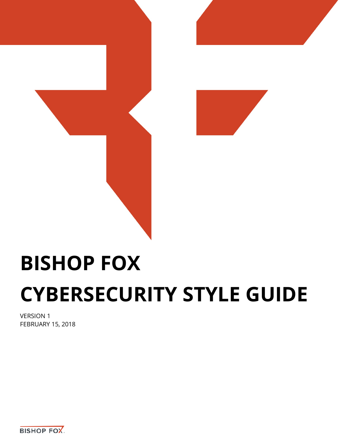

# **BISHOP FOX CYBERSECURITY STYLE GUIDE**

VERSION 1 FEBRUARY 15, 2018

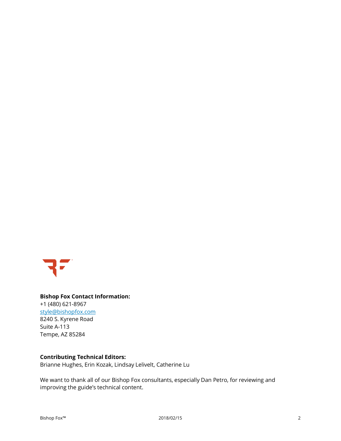

#### **Bishop Fox Contact Information:** +1 (480) 621-8967 [style@bishopfox.com](mailto:contact@bishopfox.com) 8240 S. Kyrene Road Suite A-113 Tempe, AZ 85284

#### **Contributing Technical Editors:**

Brianne Hughes, Erin Kozak, Lindsay Lelivelt, Catherine Lu

We want to thank all of our Bishop Fox consultants, especially Dan Petro, for reviewing and improving the guide's technical content.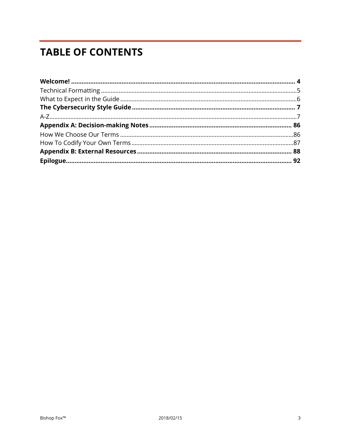# **TABLE OF CONTENTS**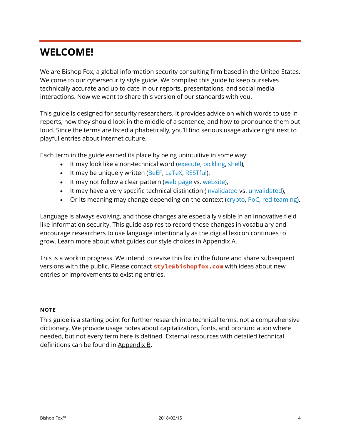## <span id="page-3-0"></span>**WELCOME!**

We are Bishop Fox, a global information security consulting firm based in the United States. Welcome to our cybersecurity style guide. We compiled this guide to keep ourselves technically accurate and up to date in our reports, presentations, and social media interactions. Now we want to share this version of our standards with you.

This guide is designed for security researchers. It provides advice on which words to use in reports, how they should look in the middle of a sentence, and how to pronounce them out loud. Since the terms are listed alphabetically, you'll find serious usage advice right next to playful entries about internet culture.

Each term in the guide earned its place by being unintuitive in some way:

- It may look like a non-technical word (execute, pickling, shell),
- It may be uniquely written (BeEF, LaTeX, RESTful),
- It may not follow a clear pattern (web page vs. website),
- It may have a very specific technical distinction (invalidated vs. unvalidated),
- Or its meaning may change depending on the context (crypto, PoC, red teaming).

Language is always evolving, and those changes are especially visible in an innovative field like information security. This guide aspires to record those changes in vocabulary and encourage researchers to use language intentionally as the digital lexicon continues to grow. Learn more about what guides our style choices in [Appendix A.](#page-85-2)

This is a work in progress. We intend to revise this list in the future and share subsequent versions with the public. Please contact **style@bishopfox.com** with ideas about new entries or improvements to existing entries.

#### **NOTE**

This guide is a starting point for further research into technical terms, not a comprehensive dictionary. We provide usage notes about capitalization, fonts, and pronunciation where needed, but not every term here is defined. External resources with detailed technical definitions can be found in [Appendix B.](#page-87-1)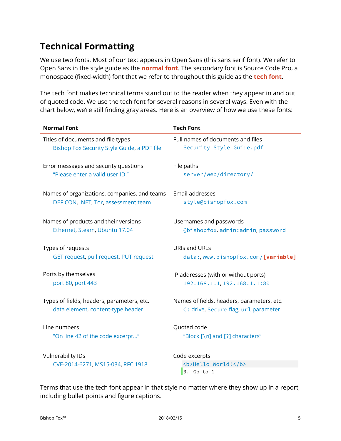## <span id="page-4-0"></span>**Technical Formatting**

We use two fonts. Most of our text appears in Open Sans (this sans serif font). We refer to Open Sans in the style guide as the **normal font**. The secondary font is Source Code Pro, a monospace (fixed-width) font that we refer to throughout this guide as the **tech font**.

The tech font makes technical terms stand out to the reader when they appear in and out of quoted code. We use the tech font for several reasons in several ways. Even with the chart below, we're still finding gray areas. Here is an overview of how we use these fonts:

| <b>Normal Font</b>                                            | <b>Tech Font</b>                                   |
|---------------------------------------------------------------|----------------------------------------------------|
| Titles of documents and file types                            | Full names of documents and files                  |
| Bishop Fox Security Style Guide, a PDF file                   | Security_Style_Guide.pdf                           |
| Error messages and security questions                         | File paths                                         |
| "Please enter a valid user ID."                               | server/web/directory/                              |
| Names of organizations, companies, and teams                  | Email addresses                                    |
| DEF CON, .NET, Tor, assessment team                           | style@bishopfox.com                                |
| Names of products and their versions                          | Usernames and passwords                            |
| Ethernet, Steam, Ubuntu 17.04                                 | @bishopfox, admin: admin, password                 |
| Types of requests                                             | URIs and URLs                                      |
| GET request, pull request, PUT request                        | data:, www.bishopfox.com/[variable]                |
| Ports by themselves                                           | IP addresses (with or without ports)               |
| port 80, port 443                                             | 192.168.1.1, 192.168.1.1:80                        |
| Types of fields, headers, parameters, etc.                    | Names of fields, headers, parameters, etc.         |
| data element, content-type header                             | C: drive, Secure flag, url parameter               |
| Line numbers                                                  | Quoted code                                        |
| "On line 42 of the code excerpt"                              | "Block [\n] and [?] characters"                    |
| <b>Vulnerability IDs</b><br>CVE-2014-6271, MS15-034, RFC 1918 | Code excerpts<br><b>Hello World!</b><br>3. Go to 1 |

Terms that use the tech font appear in that style no matter where they show up in a report, including bullet points and figure captions.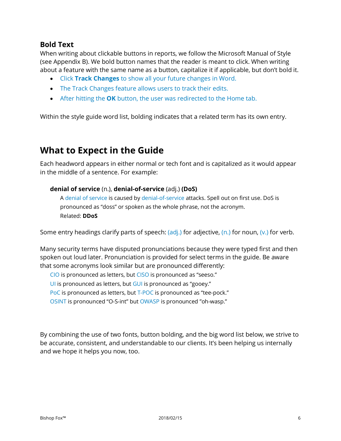#### **Bold Text**

When writing about clickable buttons in reports, we follow the Microsoft Manual of Style (see Appendix B). We bold button names that the reader is meant to click. When writing about a feature with the same name as a button, capitalize it if applicable, but don't bold it.

- Click **Track Changes** to show all your future changes in Word.
- The Track Changes feature allows users to track their edits.
- After hitting the **OK** button, the user was redirected to the Home tab.

Within the style guide word list, bolding indicates that a related term has its own entry.

### <span id="page-5-0"></span>**What to Expect in the Guide**

Each headword appears in either normal or tech font and is capitalized as it would appear in the middle of a sentence. For example:

#### **denial of service** (n.), **denial-of-service** (adj.) **(DoS)**

A denial of service is caused by denial-of-service attacks. Spell out on first use. DoS is pronounced as "doss" or spoken as the whole phrase, not the acronym. Related: **DDoS**

Some entry headings clarify parts of speech:  $\frac{\partial d}{\partial x}$  for adjective,  $\frac{\partial d}{\partial y}$  for noun,  $\frac{\partial d}{\partial y}$  for verb.

Many security terms have disputed pronunciations because they were typed first and then spoken out loud later. Pronunciation is provided for select terms in the guide. Be aware that some acronyms look similar but are pronounced differently:

CIO is pronounced as letters, but CISO is pronounced as "seeso."

UI is pronounced as letters, but GUI is pronounced as "gooey."

PoC is pronounced as letters, but T-POC is pronounced as "tee-pock."

OSINT is pronounced "O-S-int" but OWASP is pronounced "oh-wasp."

By combining the use of two fonts, button bolding, and the big word list below, we strive to be accurate, consistent, and understandable to our clients. It's been helping us internally and we hope it helps you now, too.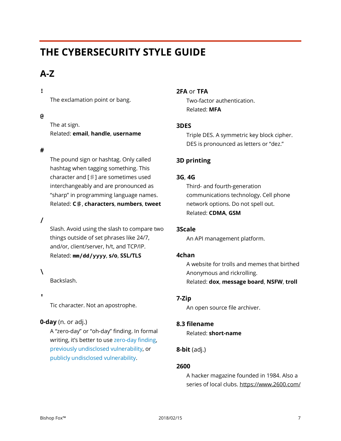# <span id="page-6-0"></span>**THE CYBERSECURITY STYLE GUIDE**

### <span id="page-6-1"></span>**A-Z**

#### **!**

The exclamation point or bang.

#### **@**

The at sign. Related: **email**, **handle**, **username**

#### **#**

The pound sign or hashtag. Only called hashtag when tagging something. This character and [♯] are sometimes used interchangeably and are pronounced as "sharp" in programming language names. Related: **C**♯, **characters**, **numbers**, **tweet**

#### **/**

Slash. Avoid using the slash to compare two things outside of set phrases like 24/7, and/or, client/server, h/t, and TCP/IP. Related: **mm/dd/yyyy**, **s/o**, **SSL/TLS**

#### **\**

Backslash.

#### **'**

Tic character. Not an apostrophe.

#### **0-day** (n. or adj.)

A "zero-day" or "oh-day" finding. In formal writing, it's better to use zero-day finding, previously undisclosed vulnerability, or publicly undisclosed vulnerability.

#### **2FA** or **TFA**

Two-factor authentication. Related: **MFA**

#### **3DES**

Triple DES. A symmetric key block cipher. DES is pronounced as letters or "dez."

#### **3D printing**

#### **3G**, **4G**

Third- and fourth-generation communications technology. Cell phone network options. Do not spell out. Related: **CDMA**, **GSM**

#### **3Scale**

An API management platform.

#### **4chan**

A website for trolls and memes that birthed Anonymous and rickrolling. Related: **dox**, **message board**, **NSFW**, **troll**

#### **7-Zip**

An open source file archiver.

#### **8.3 filename**

Related: **short-name**

#### **8-bit** (adj.)

#### **2600**

A hacker magazine founded in 1984. Also a series of local clubs. https://www.2600.com/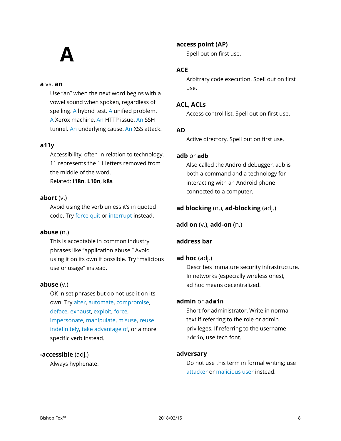# **A**

#### **a** vs. **an**

Use "an" when the next word begins with a vowel sound when spoken, regardless of spelling. A hybrid test. A unified problem. A Xerox machine. An HTTP issue. An SSH tunnel. An underlying cause. An XSS attack.

#### **a11y**

Accessibility, often in relation to technology. 11 represents the 11 letters removed from the middle of the word. Related: **i18n**, **L10n**, **k8s**

#### **abort** (v.)

Avoid using the verb unless it's in quoted code. Try force quit or interrupt instead.

#### **abuse** (n.)

This is acceptable in common industry phrases like "application abuse." Avoid using it on its own if possible. Try "malicious use or usage" instead.

#### **abuse** (v.)

OK in set phrases but do not use it on its own. Try alter, automate, compromise, deface, exhaust, exploit, force, impersonate, manipulate, misuse, reuse indefinitely, take advantage of, or a more specific verb instead.

#### **-accessible** (adj.)

Always hyphenate.

#### **access point (AP)**

Spell out on first use.

#### **ACE**

Arbitrary code execution. Spell out on first use.

#### **ACL**, **ACLs**

Access control list. Spell out on first use.

#### **AD**

Active directory. Spell out on first use.

#### **adb** or **adb**

Also called the Android debugger, adb is both a command and a technology for interacting with an Android phone connected to a computer.

#### **ad blocking** (n.), **ad-blocking** (adj.)

**add on** (v.), **add-on** (n.)

#### **address bar**

#### **ad hoc** (adj.)

Describes immature security infrastructure. In networks (especially wireless ones), ad hoc means decentralized.

#### **admin** or **admin**

Short for administrator. Write in normal text if referring to the role or admin privileges. If referring to the username admin, use tech font.

#### **adversary**

Do not use this term in formal writing; use attacker or malicious user instead.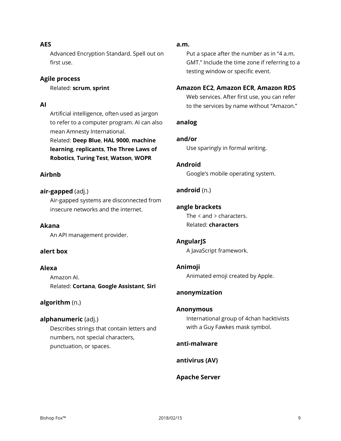#### **AES**

Advanced Encryption Standard. Spell out on first use.

#### **Agile process**

Related: **scrum**, **sprint**

#### **AI**

Artificial intelligence, often used as jargon to refer to a computer program. AI can also mean Amnesty International.

Related: **Deep Blue**, **HAL 9000**, **machine learning**, **replicants**, **The Three Laws of Robotics**, **Turing Test**, **Watson**, **WOPR**

#### **Airbnb**

#### **air-gapped** (adj.)

Air-gapped systems are disconnected from insecure networks and the internet.

#### **Akana**

An API management provider.

#### **alert box**

#### **Alexa**

Amazon AI. Related: **Cortana**, **Google Assistant**, **Siri**

#### **algorithm** (n.)

#### **alphanumeric** (adj.)

Describes strings that contain letters and numbers, not special characters, punctuation, or spaces.

#### **a.m.**

Put a space after the number as in "4 a.m. GMT." Include the time zone if referring to a testing window or specific event.

#### **Amazon EC2**, **Amazon ECR**, **Amazon RDS**

Web services. After first use, you can refer to the services by name without "Amazon."

#### **analog**

**and/or**

Use sparingly in formal writing.

**Android** Google's mobile operating system.

#### **android** (n.)

#### **angle brackets**

The < and > characters. Related: **characters**

#### **AngularJS**

A JavaScript framework.

#### **Animoji**

Animated emoji created by Apple.

#### **anonymization**

#### **Anonymous**

International group of 4chan hacktivists with a Guy Fawkes mask symbol.

#### **anti-malware**

**antivirus (AV)**

#### **Apache Server**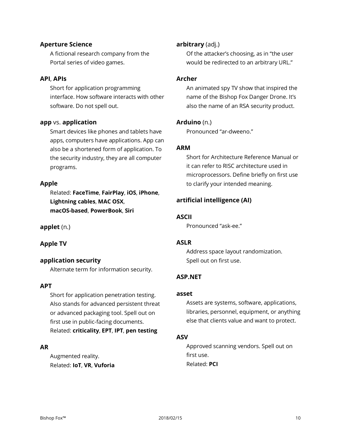#### **Aperture Science**

A fictional research company from the Portal series of video games.

#### **API**, **APIs**

Short for application programming interface. How software interacts with other software. Do not spell out.

#### **app** vs. **application**

Smart devices like phones and tablets have apps, computers have applications. App can also be a shortened form of application. To the security industry, they are all computer programs.

#### **Apple**

Related: **FaceTime**, **FairPlay**, **iOS**, **iPhone**, **Lightning cables**, **MAC OSX**, **macOS-based**, **PowerBook**, **Siri**

**applet** (n.)

#### **Apple TV**

#### **application security**

Alternate term for information security.

#### **APT**

Short for application penetration testing. Also stands for advanced persistent threat or advanced packaging tool. Spell out on first use in public-facing documents. Related: **criticality**, **EPT**, **IPT**, **pen testing**

#### **AR**

Augmented reality. Related: **IoT**, **VR**, **Vuforia**

#### **arbitrary** (adj.)

Of the attacker's choosing, as in "the user would be redirected to an arbitrary URL."

#### **Archer**

An animated spy TV show that inspired the name of the Bishop Fox Danger Drone. It's also the name of an RSA security product.

#### **Arduino** (n.)

Pronounced "ar-dweeno."

#### **ARM**

Short for Architecture Reference Manual or it can refer to RISC architecture used in microprocessors. Define briefly on first use to clarify your intended meaning.

#### **artificial intelligence (AI)**

#### **ASCII**

Pronounced "ask-ee."

#### **ASLR**

Address space layout randomization. Spell out on first use.

#### **ASP.NET**

#### **asset**

Assets are systems, software, applications, libraries, personnel, equipment, or anything else that clients value and want to protect.

#### **ASV**

Approved scanning vendors. Spell out on first use. Related: **PCI**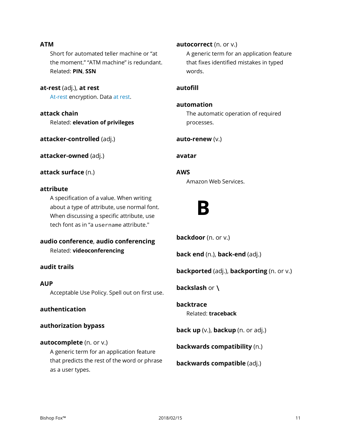#### **ATM**

Short for automated teller machine or "at the moment." "ATM machine" is redundant. Related: **PIN**, **SSN**

**at-rest** (adj.), **at rest** At-rest encryption. Data at rest.

**attack chain** Related: **elevation of privileges**

**attacker-controlled** (adj.)

**attacker-owned** (adj.)

**attack surface** (n.)

#### **attribute**

A specification of a value. When writing about a type of attribute, use normal font. When discussing a specific attribute, use tech font as in "a username attribute."

**audio conference**, **audio conferencing** Related: **videoconferencing**

#### **audit trails**

#### **AUP**

Acceptable Use Policy. Spell out on first use.

#### **authentication**

**authorization bypass**

#### **autocomplete** (n. or v.)

A generic term for an application feature that predicts the rest of the word or phrase as a user types.

**autocorrect** (n. or v.)

A generic term for an application feature that fixes identified mistakes in typed words.

#### **autofill**

#### **automation**

The automatic operation of required processes.

**auto-renew** (v.)

**avatar**

**AWS**

Amazon Web Services.

**B**

**backdoor** (n. or v.)

**back end** (n.), **back-end** (adj.)

**backported** (adj.), **backporting** (n. or v.)

**backslash** or **\**

**backtrace** Related: **traceback**

**back up** (v.), **backup** (n. or adj.)

**backwards compatibility** (n.)

**backwards compatible** (adj.)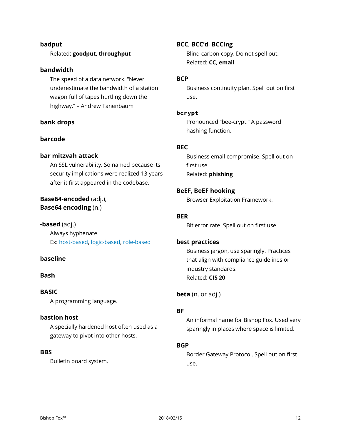#### **badput**

#### Related: **goodput**, **throughput**

#### **bandwidth**

The speed of a data network. "Never underestimate the bandwidth of a station wagon full of tapes hurtling down the highway." – Andrew Tanenbaum

#### **bank drops**

#### **barcode**

#### **bar mitzvah attack**

An SSL vulnerability. So named because its security implications were realized 13 years after it first appeared in the codebase.

#### **Base64-encoded** (adj.), **Base64 encoding** (n.)

**-based** (adj.) Always hyphenate. Ex: host-based, logic-based, role-based

#### **baseline**

#### **Bash**

#### **BASIC**

A programming language.

#### **bastion host**

A specially hardened host often used as a gateway to pivot into other hosts.

#### **BBS**

Bulletin board system.

#### **BCC**, **BCC'd**, **BCCing**

Blind carbon copy. Do not spell out. Related: **CC**, **email**

#### **BCP**

Business continuity plan. Spell out on first use.

#### **bcrypt**

Pronounced "bee-crypt." A password hashing function.

#### **BEC**

Business email compromise. Spell out on first use. Related: **phishing**

#### **BeEF**, **BeEF hooking**

Browser Exploitation Framework.

#### **BER**

Bit error rate. Spell out on first use.

#### **best practices**

Business jargon, use sparingly. Practices that align with compliance guidelines or industry standards. Related: **CIS 20**

**beta** (n. or adj.)

#### **BF**

An informal name for Bishop Fox. Used very sparingly in places where space is limited.

#### **BGP**

Border Gateway Protocol. Spell out on first use.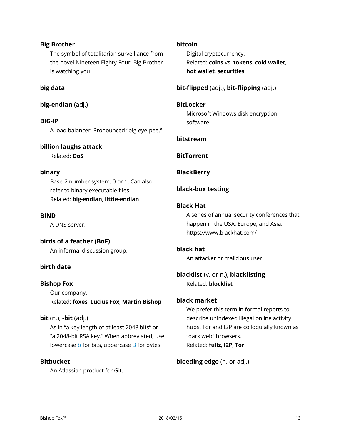#### **Big Brother**

The symbol of totalitarian surveillance from the novel Nineteen Eighty-Four. Big Brother is watching you.

#### **big data**

#### **big-endian** (adj.)

**BIG-IP** A load balancer. Pronounced "big-eye-pee."

#### **billion laughs attack**

Related: **DoS**

#### **binary**

Base-2 number system. 0 or 1. Can also refer to binary executable files. Related: **big-endian**, **little-endian**

#### **BIND**

A DNS server.

#### **birds of a feather (BoF)**

An informal discussion group.

#### **birth date**

#### **Bishop Fox**

Our company. Related: **foxes**, **Lucius Fox**, **Martin Bishop**

#### **bit** (n.), **-bit** (adj.)

As in "a key length of at least 2048 bits" or "a 2048-bit RSA key." When abbreviated, use lowercase **b** for bits, uppercase **B** for bytes.

#### **Bitbucket**

An Atlassian product for Git.

#### **bitcoin**

Digital cryptocurrency. Related: **coins** vs. **tokens**, **cold wallet**, **hot wallet**, **securities**

#### **bit-flipped** (adj.), **bit-flipping** (adj.)

#### **BitLocker**

Microsoft Windows disk encryption software.

#### **bitstream**

**BitTorrent**

#### **BlackBerry**

#### **black-box testing**

#### **Black Hat**

A series of annual security conferences that happen in the USA, Europe, and Asia. https://www.blackhat.com/

#### **black hat**

An attacker or malicious user.

#### **blacklist** (v. or n.), **blacklisting** Related: **blocklist**

#### **black market**

We prefer this term in formal reports to describe unindexed illegal online activity hubs. Tor and I2P are colloquially known as "dark web" browsers. Related: **fullz**, **I2P**, **Tor**

#### **bleeding edge** (n. or adj.)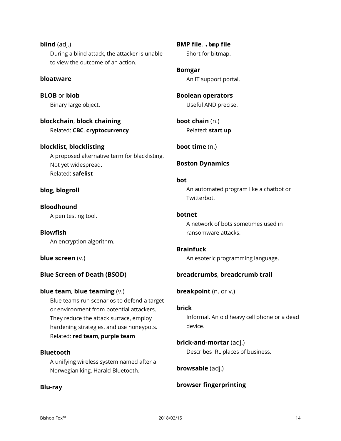**blind** (adj.) During a blind attack, the attacker is unable to view the outcome of an action.

#### **bloatware**

**BLOB** or **blob** Binary large object.

**blockchain**, **block chaining** Related: **CBC**, **cryptocurrency**

**blocklist**, **blocklisting** A proposed alternative term for blacklisting. Not yet widespread. Related: **safelist**

#### **blog**, **blogroll**

### **Bloodhound**

A pen testing tool.

**Blowfish** An encryption algorithm.

#### **blue screen** (v.)

#### **Blue Screen of Death (BSOD)**

#### **blue team**, **blue teaming** (v.)

Blue teams run scenarios to defend a target or environment from potential attackers. They reduce the attack surface, employ hardening strategies, and use honeypots. Related: **red team**, **purple team**

#### **Bluetooth**

A unifying wireless system named after a Norwegian king, Harald Bluetooth.

#### **Blu-ray**

**BMP file**, **.bmp file** Short for bitmap.

**Bomgar** An IT support portal.

**Boolean operators** Useful AND precise.

**boot chain** (n.) Related: **start up**

**boot time** (n.)

#### **Boston Dynamics**

#### **bot**

An automated program like a chatbot or Twitterbot.

#### **botnet**

A network of bots sometimes used in ransomware attacks.

#### **Brainfuck**

An esoteric programming language.

#### **breadcrumbs**, **breadcrumb trail**

**breakpoint** (n. or v.)

#### **brick**

Informal. An old heavy cell phone or a dead device.

#### **brick-and-mortar** (adj.)

Describes IRL places of business.

**browsable** (adj.)

#### **browser fingerprinting**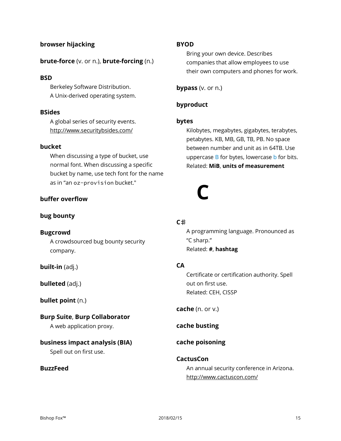#### **browser hijacking**

#### **brute-force** (v. or n.), **brute-forcing** (n.)

#### **BSD**

Berkeley Software Distribution. A Unix-derived operating system.

#### **BSides**

A global series of security events. http://www.securitybsides.com/

#### **bucket**

When discussing a type of bucket, use normal font. When discussing a specific bucket by name, use tech font for the name as in "an oz-provision bucket."

#### **buffer overflow**

#### **bug bounty**

#### **Bugcrowd**

A crowdsourced bug bounty security company.

**built-in** (adj.)

**bulleted** (adj.)

#### **bullet point** (n.)

**Burp Suite**, **Burp Collaborator**

A web application proxy.

#### **business impact analysis (BIA)**

Spell out on first use.

#### **BuzzFeed**

#### **BYOD**

Bring your own device. Describes companies that allow employees to use their own computers and phones for work.

**bypass** (v. or n.)

#### **byproduct**

#### **bytes**

Kilobytes, megabytes, gigabytes, terabytes, petabytes. KB, MB, GB, TB, PB. No space between number and unit as in 64TB. Use uppercase B for bytes, lowercase b for bits. Related: **MiB**, **units of measurement**

# **C**

#### **C**♯

A programming language. Pronounced as "C sharp." Related: **#**, **hashtag**

#### **CA**

Certificate or certification authority. Spell out on first use. Related: CEH, CISSP

**cache** (n. or v.)

**cache busting**

#### **cache poisoning**

#### **CactusCon**

An annual security conference in Arizona. http://www.cactuscon.com/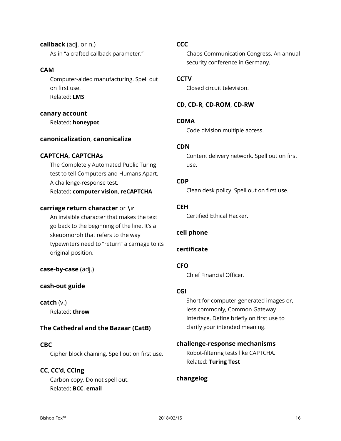**callback** (adj. or n.) As in "a crafted callback parameter."

#### **CAM**

Computer-aided manufacturing. Spell out on first use. Related: **LMS**

#### **canary account**

Related: **honeypot**

#### **canonicalization**, **canonicalize**

#### **CAPTCHA**, **CAPTCHAs**

The Completely Automated Public Turing test to tell Computers and Humans Apart. A challenge-response test. Related: **computer vision**, **reCAPTCHA**

#### **carriage return character** or **\r**

An invisible character that makes the text go back to the beginning of the line. It's a skeuomorph that refers to the way typewriters need to "return" a carriage to its original position.

**case-by-case** (adj.)

#### **cash-out guide**

**catch** (v.) Related: **throw**

#### **The Cathedral and the Bazaar (CatB)**

#### **CBC**

Cipher block chaining. Spell out on first use.

**CC**, **CC'd**, **CCing** Carbon copy. Do not spell out. Related: **BCC**, **email**

#### **CCC**

Chaos Communication Congress. An annual security conference in Germany.

#### **CCTV**

Closed circuit television.

#### **CD**, **CD-R**, **CD-ROM**, **CD-RW**

#### **CDMA**

Code division multiple access.

#### **CDN**

Content delivery network. Spell out on first use.

#### **CDP**

Clean desk policy. Spell out on first use.

#### **CEH**

Certified Ethical Hacker.

#### **cell phone**

#### **certificate**

#### **CFO**

Chief Financial Officer.

#### **CGI**

Short for computer-generated images or, less commonly, Common Gateway Interface. Define briefly on first use to clarify your intended meaning.

#### **challenge-response mechanisms**

Robot-filtering tests like CAPTCHA. Related: **Turing Test**

#### **changelog**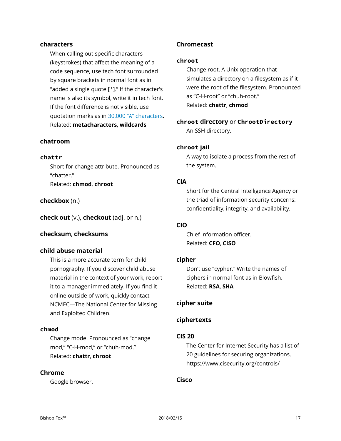#### **characters**

When calling out specific characters (keystrokes) that affect the meaning of a code sequence, use tech font surrounded by square brackets in normal font as in "added a single quote [']." If the character's name is also its symbol, write it in tech font. If the font difference is not visible, use quotation marks as in 30,000 "A" characters. Related: **metacharacters**, **wildcards**

#### **chatroom**

#### **chattr**

Short for change attribute. Pronounced as "chatter." Related: **chmod**, **chroot**

#### **checkbox** (n.)

**check out** (v.), **checkout** (adj. or n.)

#### **checksum**, **checksums**

#### **child abuse material**

This is a more accurate term for child pornography. If you discover child abuse material in the context of your work, report it to a manager immediately. If you find it online outside of work, quickly contact NCMEC—The National Center for Missing and Exploited Children.

#### **chmod**

Change mode. Pronounced as "change mod," "C-H-mod," or "chuh-mod." Related: **chattr**, **chroot**

#### **Chrome**

Google browser.

#### **Chromecast**

#### **chroot**

Change root. A Unix operation that simulates a directory on a filesystem as if it were the root of the filesystem. Pronounced as "C-H-root" or "chuh-root." Related: **chattr**, **chmod**

#### **chroot directory** or **ChrootDirectory** An SSH directory.

#### **chroot jail**

A way to isolate a process from the rest of the system.

#### **CIA**

Short for the Central Intelligence Agency or the triad of information security concerns: confidentiality, integrity, and availability.

#### **CIO**

Chief information officer. Related: **CFO**, **CISO**

#### **cipher**

Don't use "cypher." Write the names of ciphers in normal font as in Blowfish. Related: **RSA**, **SHA**

#### **cipher suite**

#### **ciphertexts**

#### **CIS 20**

The Center for Internet Security has a list of 20 guidelines for securing organizations. https://www.cisecurity.org/controls/

#### **Cisco**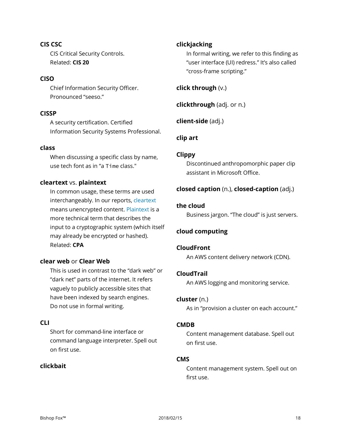**CIS CSC** CIS Critical Security Controls. Related: **CIS 20**

#### **CISO**

Chief Information Security Officer. Pronounced "seeso."

#### **CISSP**

A security certification. Certified Information Security Systems Professional.

#### **class**

When discussing a specific class by name, use tech font as in "a Time class."

#### **cleartext** vs. **plaintext**

In common usage, these terms are used interchangeably. In our reports, cleartext means unencrypted content. Plaintext is a more technical term that describes the input to a cryptographic system (which itself may already be encrypted or hashed). Related: **CPA**

#### **clear web** or **Clear Web**

This is used in contrast to the "dark web" or "dark net" parts of the internet. It refers vaguely to publicly accessible sites that have been indexed by search engines. Do not use in formal writing.

#### **CLI**

Short for command-line interface or command language interpreter. Spell out on first use.

#### **clickbait**

#### **clickjacking**

In formal writing, we refer to this finding as "user interface (UI) redress." It's also called "cross-frame scripting."

#### **click through** (v.)

**clickthrough** (adj. or n.)

**client-side** (adj.)

#### **clip art**

#### **Clippy**

Discontinued anthropomorphic paper clip assistant in Microsoft Office.

#### **closed caption** (n.), **closed-caption** (adj.)

#### **the cloud**

Business jargon. "The cloud" is just servers.

#### **cloud computing**

#### **CloudFront**

An AWS content delivery network (CDN).

#### **CloudTrail**

An AWS logging and monitoring service.

#### **cluster** (n.)

As in "provision a cluster on each account."

#### **CMDB**

Content management database. Spell out on first use.

#### **CMS**

Content management system. Spell out on first use.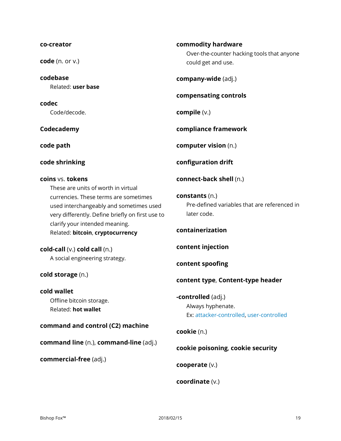#### **co-creator**

**code** (n. or v.)

**codebase** Related: **user base**

**codec** Code/decode.

**Codecademy**

**code path**

**code shrinking**

#### **coins** vs. **tokens**

These are units of worth in virtual currencies. These terms are sometimes used interchangeably and sometimes used very differently. Define briefly on first use to clarify your intended meaning. Related: **bitcoin**, **cryptocurrency**

**cold-call** (v.) **cold call** (n.) A social engineering strategy.

#### **cold storage** (n.)

**cold wallet** Offline bitcoin storage. Related: **hot wallet**

#### **command and control (C2) machine**

**command line** (n.), **command-line** (adj.)

**commercial-free** (adj.)

**commodity hardware** Over-the-counter hacking tools that anyone

**company-wide** (adj.)

could get and use.

#### **compensating controls**

**compile** (v.)

**compliance framework**

**computer vision** (n.)

**configuration drift**

**connect-back shell** (n.)

**constants** (n.) Pre-defined variables that are referenced in later code.

**containerization**

**content injection**

**content spoofing**

#### **content type**, **Content-type header**

**-controlled** (adj.) Always hyphenate. Ex: attacker-controlled, user-controlled

**cookie** (n.)

**cookie poisoning**, **cookie security**

**cooperate** (v.)

**coordinate** (v.)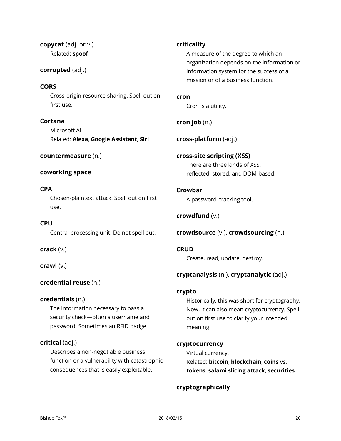**copycat** (adj. or v.) Related: **spoof**

#### **corrupted** (adj.)

#### **CORS**

Cross-origin resource sharing. Spell out on first use.

**Cortana** Microsoft AI. Related: **Alexa**, **Google Assistant**, **Siri**

#### **countermeasure** (n.)

#### **coworking space**

#### **CPA**

Chosen-plaintext attack. Spell out on first use.

**CPU** Central processing unit. Do not spell out.

**crack** (v.)

**crawl** (v.)

#### **credential reuse** (n.)

#### **credentials** (n.)

The information necessary to pass a security check—often a username and password. Sometimes an RFID badge.

#### **critical** (adj.)

Describes a non-negotiable business function or a vulnerability with catastrophic consequences that is easily exploitable.

#### **criticality**

A measure of the degree to which an organization depends on the information or information system for the success of a mission or of a business function.

**cron**

Cron is a utility.

#### **cron job** (n.)

**cross-platform** (adj.)

#### **cross-site scripting (XSS)** There are three kinds of XSS: reflected, stored, and DOM-based.

**Crowbar** A password-cracking tool.

**crowdfund** (v.)

**crowdsource** (v.), **crowdsourcing** (n.)

**CRUD** Create, read, update, destroy.

#### **cryptanalysis** (n.), **cryptanalytic** (adj.)

#### **crypto**

Historically, this was short for cryptography. Now, it can also mean cryptocurrency. Spell out on first use to clarify your intended meaning.

#### **cryptocurrency**

Virtual currency. Related: **bitcoin**, **blockchain**, **coins** vs. **tokens**, **salami slicing attack**, **securities**

#### **cryptographically**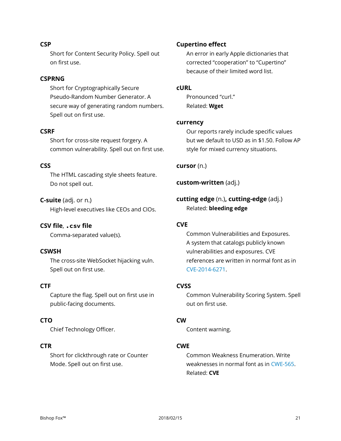#### **CSP**

Short for Content Security Policy. Spell out on first use.

#### **CSPRNG**

Short for Cryptographically Secure Pseudo-Random Number Generator. A secure way of generating random numbers. Spell out on first use.

#### **CSRF**

Short for cross-site request forgery. A common vulnerability. Spell out on first use.

#### **CSS**

The HTML cascading style sheets feature. Do not spell out.

#### **C-suite** (adj. or n.)

High-level executives like CEOs and CIOs.

#### **CSV file**, **.csv file**

Comma-separated value(s).

#### **CSWSH**

The cross-site WebSocket hijacking vuln. Spell out on first use.

#### **CTF**

Capture the flag. Spell out on first use in public-facing documents.

#### **CTO**

Chief Technology Officer.

#### **CTR**

Short for clickthrough rate or Counter Mode. Spell out on first use.

#### **Cupertino effect**

An error in early Apple dictionaries that corrected "cooperation" to "Cupertino" because of their limited word list.

#### **cURL**

Pronounced "curl." Related: **Wget**

#### **currency**

Our reports rarely include specific values but we default to USD as in \$1.50. Follow AP style for mixed currency situations.

#### **cursor** (n.)

**custom-written** (adj.)

**cutting edge** (n.)**, cutting-edge** (adj.) Related: **bleeding edge**

#### **CVE**

Common Vulnerabilities and Exposures. A system that catalogs publicly known vulnerabilities and exposures. CVE references are written in normal font as in CVE-2014-6271.

#### **CVSS**

Common Vulnerability Scoring System. Spell out on first use.

#### **CW**

Content warning.

#### **CWE**

Common Weakness Enumeration. Write weaknesses in normal font as in CWE-565. Related: **CVE**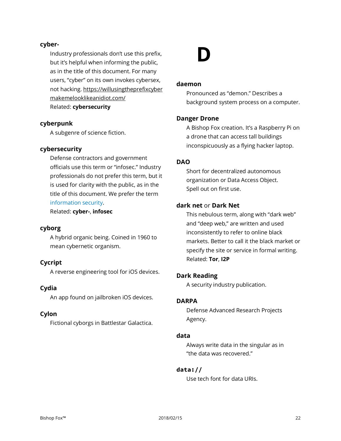#### **cyber-**

Industry professionals don't use this prefix, but it's helpful when informing the public, as in the title of this document. For many users, "cyber" on its own invokes cybersex, not hacking. [https://willusingtheprefixcyber](https://willusingtheprefixcybermakemelooklikeanidiot.com/) [makemelooklikeanidiot.com/](https://willusingtheprefixcybermakemelooklikeanidiot.com/) Related: **cybersecurity**

#### **cyberpunk**

A subgenre of science fiction.

#### **cybersecurity**

Defense contractors and government officials use this term or "infosec." Industry professionals do not prefer this term, but it is used for clarity with the public, as in the title of this document. We prefer the term information security.

Related: **cyber-**, **infosec**

#### **cyborg**

A hybrid organic being. Coined in 1960 to mean cybernetic organism.

#### **Cycript**

A reverse engineering tool for iOS devices.

#### **Cydia**

An app found on jailbroken iOS devices.

#### **Cylon**

Fictional cyborgs in Battlestar Galactica.

# **D**

#### **daemon**

Pronounced as "demon." Describes a background system process on a computer.

#### **Danger Drone**

A Bishop Fox creation. It's a Raspberry Pi on a drone that can access tall buildings inconspicuously as a flying hacker laptop.

#### **DAO**

Short for decentralized autonomous organization or Data Access Object. Spell out on first use.

#### **dark net** or **Dark Net**

This nebulous term, along with "dark web" and "deep web," are written and used inconsistently to refer to online black markets. Better to call it the black market or specify the site or service in formal writing. Related: **Tor**, **I2P**

#### **Dark Reading**

A security industry publication.

#### **DARPA**

Defense Advanced Research Projects Agency.

#### **data**

Always write data in the singular as in "the data was recovered."

#### **data://**

Use tech font for data URIs.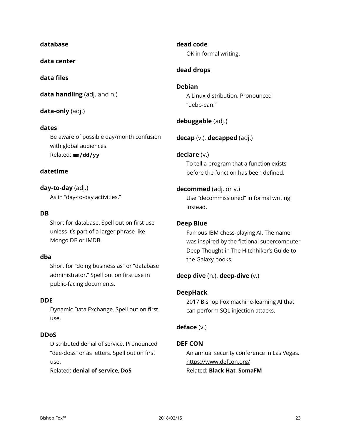#### **database**

**data center**

#### **data files**

**data handling** (adj. and n.)

#### **data-only** (adj.)

#### **dates**

Be aware of possible day/month confusion with global audiences. Related: **mm/dd/yy**

#### **datetime**

**day-to-day** (adj.) As in "day-to-day activities."

#### **DB**

Short for database. Spell out on first use unless it's part of a larger phrase like Mongo DB or IMDB.

#### **dba**

Short for "doing business as" or "database administrator." Spell out on first use in public-facing documents.

#### **DDE**

Dynamic Data Exchange. Spell out on first use.

#### **DDoS**

Distributed denial of service. Pronounced "dee-doss" or as letters. Spell out on first use.

Related: **denial of service**, **DoS**

**dead code** OK in formal writing.

#### **dead drops**

#### **Debian** A Linux distribution. Pronounced "debb-ean."

**debuggable** (adj.)

**decap** (v.), **decapped** (adj.)

#### **declare** (v.)

To tell a program that a function exists before the function has been defined.

#### **decommed** (adj. or v.)

Use "decommissioned" in formal writing instead.

#### **Deep Blue**

Famous IBM chess-playing AI. The name was inspired by the fictional supercomputer Deep Thought in The Hitchhiker's Guide to the Galaxy books.

#### **deep dive** (n.), **deep-dive** (v.)

#### **DeepHack**

2017 Bishop Fox machine-learning AI that can perform SQL injection attacks.

#### **deface** (v.)

#### **DEF CON**

An annual security conference in Las Vegas. https://www.defcon.org/ Related: **Black Hat**, **SomaFM**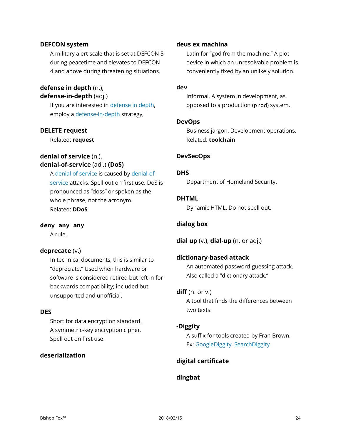#### **DEFCON system**

A military alert scale that is set at DEFCON 5 during peacetime and elevates to DEFCON 4 and above during threatening situations.

#### **defense in depth** (n.), **defense-in-depth** (adj.)

If you are interested in defense in depth, employ a defense-in-depth strategy,

#### **DELETE request**

Related: **request**

#### **denial of service** (n.), **denial-of-service** (adj.) **(DoS)**

A denial of service is caused by denial-ofservice attacks. Spell out on first use. DoS is pronounced as "doss" or spoken as the whole phrase, not the acronym. Related: **DDoS**

#### **deny any any**

A rule.

#### **deprecate** (v.)

In technical documents, this is similar to "depreciate." Used when hardware or software is considered retired but left in for backwards compatibility; included but unsupported and unofficial.

#### **DES**

Short for data encryption standard. A symmetric-key encryption cipher. Spell out on first use.

#### **deserialization**

#### **deus ex machina**

Latin for "god from the machine." A plot device in which an unresolvable problem is conveniently fixed by an unlikely solution.

#### **dev**

Informal. A system in development, as opposed to a production (prod) system.

#### **DevOps**

Business jargon. Development operations. Related: **toolchain**

#### **DevSecOps**

#### **DHS**

Department of Homeland Security.

#### **DHTML**

Dynamic HTML. Do not spell out.

#### **dialog box**

**dial up** (v.), **dial-up** (n. or adj.)

#### **dictionary-based attack**

An automated password-guessing attack. Also called a "dictionary attack."

#### **diff** (n. or v.)

A tool that finds the differences between two texts.

#### **-Diggity**

A suffix for tools created by Fran Brown. Ex: GoogleDiggity, SearchDiggity

#### **digital certificate**

#### **dingbat**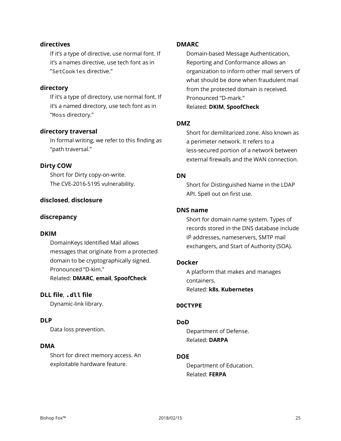#### **directives**

If it's a type of directive, use normal font. If it's a names directive, use tech font as in "SetCookies directive."

#### **directory**

If it's a type of directory, use normal font. If it's a named directory, use tech font as in "Moss directory."

#### **directory traversal**

In formal writing, we refer to this finding as "path traversal."

#### **Dirty COW**

Short for Dirty copy-on-write. The CVE-2016-5195 vulnerability.

#### **disclosed**, **disclosure**

#### **discrepancy**

#### **DKIM**

DomainKeys Identified Mail allows messages that originate from a protected domain to be cryptographically signed. Pronounced "D-kim." Related: **DMARC**, **email**, **SpoofCheck**

#### **DLL file**, **.dll file**

Dynamic-link library.

#### **DLP**

Data loss prevention.

#### **DMA**

Short for direct memory access. An exploitable hardware feature.

#### **DMARC**

Domain-based Message Authentication, Reporting and Conformance allows an organization to inform other mail servers of what should be done when fraudulent mail from the protected domain is received. Pronounced "D-mark." Related: **DKIM**, **SpoofCheck**

#### **DMZ**

Short for demilitarized zone. Also known as a perimeter network. It refers to a less-secured portion of a network between external firewalls and the WAN connection.

#### **DN**

Short for Distinguished Name in the LDAP API. Spell out on first use.

#### **DNS name**

Short for domain name system. Types of records stored in the DNS database include IP addresses, nameservers, SMTP mail exchangers, and Start of Authority (SOA).

#### **Docker**

A platform that makes and manages containers. Related: **k8s**, **Kubernetes**

#### **DOCTYPE**

#### **DoD**

Department of Defense. Related: **DARPA**

#### **DOE**

Department of Education. Related: **FERPA**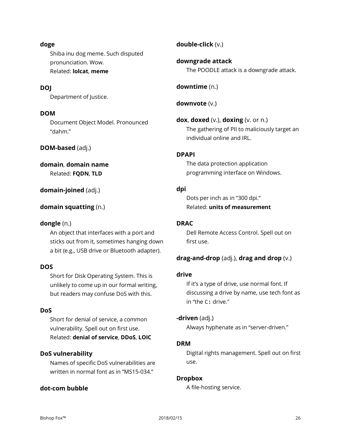#### **doge**

Shiba inu dog meme. Such disputed pronunciation. Wow. Related: **lolcat**, **meme**

#### **DOJ**

Department of Justice.

#### **DOM**

Document Object Model. Pronounced "dahm."

#### **DOM-based** (adj.)

#### **domain**, **domain name**

Related: **FQDN**, **TLD**

#### **domain-joined** (adj.)

#### **domain squatting** (n.)

#### **dongle** (n.)

An object that interfaces with a port and sticks out from it, sometimes hanging down a bit (e.g., USB drive or Bluetooth adapter).

#### **DOS**

Short for Disk Operating System. This is unlikely to come up in our formal writing, but readers may confuse DoS with this.

#### **DoS**

Short for denial of service, a common vulnerability. Spell out on first use. Related: **denial of service**, **DDoS**, **LOIC**

#### **DoS vulnerability**

Names of specific DoS vulnerabilities are written in normal font as in "MS15-034."

#### **dot-com bubble**

**double-click** (v.)

**downgrade attack** The POODLE attack is a downgrade attack.

**downtime** (n.)

**downvote** (v.)

**dox**, **doxed** (v.), **doxing** (v. or n.) The gathering of PII to maliciously target an individual online and IRL.

#### **DPAPI**

The data protection application programming interface on Windows.

#### **dpi**

Dots per inch as in "300 dpi." Related: **units of measurement**

#### **DRAC**

Dell Remote Access Control. Spell out on first use.

#### **drag-and-drop** (adj.), **drag and drop** (v.)

#### **drive**

If it's a type of drive, use normal font. If discussing a drive by name, use tech font as in "the C: drive."

#### **-driven** (adj.)

Always hyphenate as in "server-driven."

#### **DRM**

Digital rights management. Spell out on first use.

#### **Dropbox**

A file-hosting service.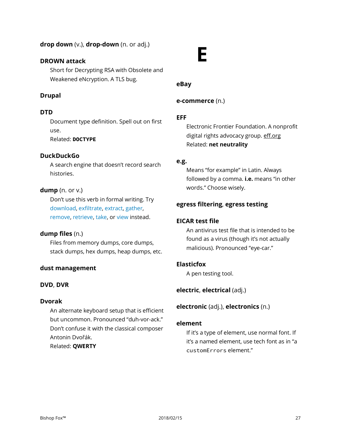#### **drop down** (v.), **drop-down** (n. or adj.)

#### **DROWN attack**

Short for Decrypting RSA with Obsolete and Weakened eNcryption. A TLS bug.

#### **Drupal**

#### **DTD**

Document type definition. Spell out on first use.

Related: **DOCTYPE**

#### **DuckDuckGo**

A search engine that doesn't record search histories.

#### **dump** (n. or v.)

Don't use this verb in formal writing. Try download, exfiltrate, extract, gather, remove, retrieve, take, or view instead.

#### **dump files** (n.)

Files from memory dumps, core dumps, stack dumps, hex dumps, heap dumps, etc.

#### **dust management**

#### **DVD**, **DVR**

#### **Dvorak**

An alternate keyboard setup that is efficient but uncommon. Pronounced "duh-vor-ack." Don't confuse it with the classical composer Antonin Dvořák. Related: **QWERTY**

# **E**

#### **eBay**

#### **e-commerce** (n.)

#### **EFF**

Electronic Frontier Foundation. A nonprofit digital rights advocacy group. eff.org Related: **net neutrality**

#### **e.g.**

Means "for example" in Latin. Always followed by a comma. **i.e.** means "in other words." Choose wisely.

#### **egress filtering**, **egress testing**

#### **EICAR test file**

An antivirus test file that is intended to be found as a virus (though it's not actually malicious). Pronounced "eye-car."

#### **Elasticfox**

A pen testing tool.

#### **electric**, **electrical** (adj.)

**electronic** (adj.), **electronics** (n.)

#### **element**

If it's a type of element, use normal font. If it's a named element, use tech font as in "a customErrors element."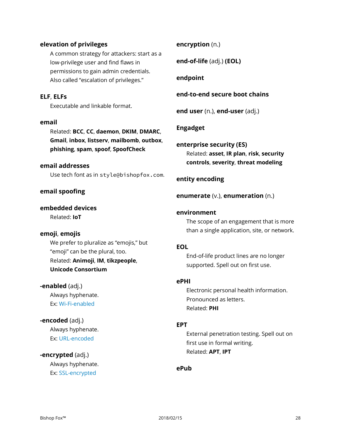#### **elevation of privileges**

A common strategy for attackers: start as a low-privilege user and find flaws in permissions to gain admin credentials. Also called "escalation of privileges."

#### **ELF**, **ELFs**

Executable and linkable format.

#### **email**

Related: **BCC**, **CC**, **daemon**, **DKIM**, **DMARC**, **Gmail**, **inbox**, **listserv**, **mailbomb**, **outbox**, **phishing**, **spam**, **spoof**, **SpoofCheck**

#### **email addresses**

Use tech font as in style@bishopfox.com.

#### **email spoofing**

#### **embedded devices**

Related: **IoT**

#### **emoji**, **emojis**

We prefer to pluralize as "emojis," but "emoji" can be the plural, too. Related: **Animoji**, **IM**, **tikzpeople**, **Unicode Consortium**

**-enabled** (adj.) Always hyphenate. Ex: Wi-Fi-enabled

**-encoded** (adj.) Always hyphenate. Ex: URL-encoded

#### **-encrypted** (adj.)

Always hyphenate. Ex: SSL-encrypted

#### **encryption** (n.)

**end-of-life** (adj.) **(EOL)**

#### **endpoint**

#### **end-to-end secure boot chains**

**end user** (n.), **end-user** (adj.)

#### **Engadget**

**enterprise security (ES)** Related: **asset**, **IR plan**, **risk**, **security controls**, **severity**, **threat modeling**

#### **entity encoding**

**enumerate** (v.), **enumeration** (n.)

#### **environment**

The scope of an engagement that is more than a single application, site, or network.

#### **EOL**

End-of-life product lines are no longer supported. Spell out on first use.

#### **ePHI**

Electronic personal health information. Pronounced as letters. Related: **PHI**

#### **EPT**

External penetration testing. Spell out on first use in formal writing. Related: **APT**, **IPT**

#### **ePub**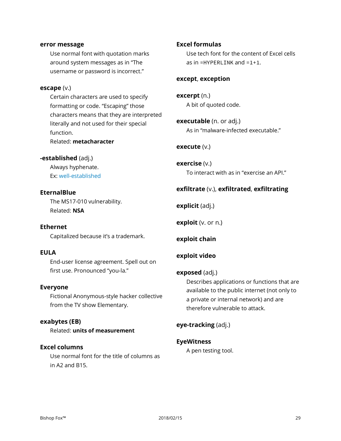#### **error message**

Use normal font with quotation marks around system messages as in "The username or password is incorrect."

#### **escape** (v.)

Certain characters are used to specify formatting or code. "Escaping" those characters means that they are interpreted literally and not used for their special function. Related: **metacharacter**

### **-established** (adj.)

Always hyphenate. Ex: well-established

#### **EternalBlue**

The MS17-010 vulnerability. Related: **NSA**

#### **Ethernet**

Capitalized because it's a trademark.

#### **EULA**

End-user license agreement. Spell out on first use. Pronounced "you-la."

#### **Everyone**

Fictional Anonymous-style hacker collective from the TV show Elementary.

#### **exabytes (EB)**

Related: **units of measurement**

#### **Excel columns**

Use normal font for the title of columns as in A2 and B15.

#### **Excel formulas**

Use tech font for the content of Excel cells as in =HYPERLINK and =1+1.

#### **except**, **exception**

**excerpt** (n.) A bit of quoted code.

**executable** (n. or adj.) As in "malware-infected executable."

#### **execute** (v.)

**exercise** (v.) To interact with as in "exercise an API."

#### **exfiltrate** (v.), **exfiltrated**, **exfiltrating**

**explicit** (adj.)

**exploit** (v. or n.)

**exploit chain**

#### **exploit video**

#### **exposed** (adj.)

Describes applications or functions that are available to the public internet (not only to a private or internal network) and are therefore vulnerable to attack.

**eye-tracking** (adj.)

#### **EyeWitness**

A pen testing tool.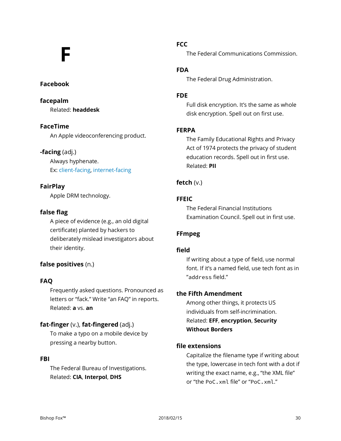# **F**

#### **Facebook**

**facepalm** Related: **headdesk**

#### **FaceTime**

An Apple videoconferencing product.

#### **-facing** (adj.)

Always hyphenate. Ex: client-facing, internet-facing

#### **FairPlay**

Apple DRM technology.

#### **false flag**

A piece of evidence (e.g., an old digital certificate) planted by hackers to deliberately mislead investigators about their identity.

#### **false positives** (n.)

#### **FAQ**

Frequently asked questions. Pronounced as letters or "fack." Write "an FAQ" in reports. Related: **a** vs. **an**

#### **fat-finger** (v.), **fat-fingered** (adj.)

To make a typo on a mobile device by pressing a nearby button.

#### **FBI**

The Federal Bureau of Investigations. Related: **CIA**, **Interpol**, **DHS**

#### **FCC**

The Federal Communications Commission.

#### **FDA**

The Federal Drug Administration.

#### **FDE**

Full disk encryption. It's the same as whole disk encryption. Spell out on first use.

#### **FERPA**

The Family Educational Rights and Privacy Act of 1974 protects the privacy of student education records. Spell out in first use. Related: **PII**

#### **fetch** (v.)

#### **FFEIC**

The Federal Financial Institutions Examination Council. Spell out in first use.

#### **FFmpeg**

#### **field**

If writing about a type of field, use normal font. If it's a named field, use tech font as in "address field."

#### **the Fifth Amendment**

Among other things, it protects US individuals from self-incrimination. Related: **EFF**, **encryption**, **Security Without Borders**

#### **file extensions**

Capitalize the filename type if writing about the type, lowercase in tech font with a dot if writing the exact name, e.g., "the XML file" or "the PoC.xml file" or "PoC.xml."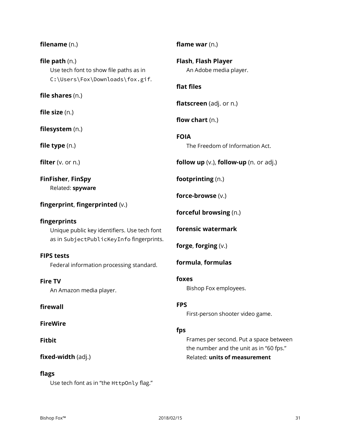# **file size** (n.)

**filename** (n.)

**file path** (n.)

**filesystem** (n.)

**file shares** (n.)

**file type** (n.)

**filter** (v. or n.)

**FinFisher**, **FinSpy** Related: **spyware**

### **fingerprint**, **fingerprinted** (v.)

Use tech font to show file paths as in C:\Users\Fox\Downloads\fox.gif.

#### **fingerprints**

Unique public key identifiers. Use tech font as in SubjectPublicKeyInfo fingerprints.

#### **FIPS tests**

Federal information processing standard.

#### **Fire TV**

An Amazon media player.

#### **firewall**

**FireWire**

#### **Fitbit**

#### **fixed-width** (adj.)

#### **flags**

Use tech font as in "the HttpOnly flag."

**flame war** (n.)

**Flash**, **Flash Player** An Adobe media player.

#### **flat files**

**flatscreen** (adj. or n.)

**flow chart** (n.)

**FOIA** The Freedom of Information Act.

**follow up** (v.), **follow-up** (n. or adj.)

**footprinting** (n.)

**force-browse** (v.)

**forceful browsing** (n.)

**forensic watermark**

**forge**, **forging** (v.)

**formula**, **formulas**

### **foxes**

Bishop Fox employees.

#### **FPS**

First-person shooter video game.

#### **fps**

Frames per second. Put a space between the number and the unit as in "60 fps." Related: **units of measurement**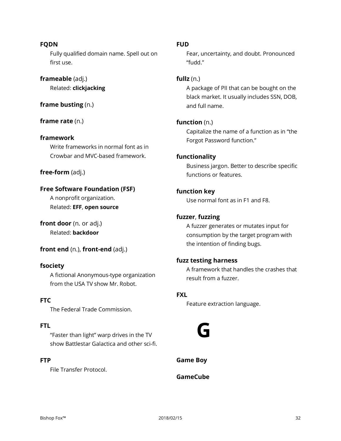#### **FQDN**

Fully qualified domain name. Spell out on first use.

#### **frameable** (adj.)

Related: **clickjacking**

#### **frame busting** (n.)

**frame rate** (n.)

#### **framework**

Write frameworks in normal font as in Crowbar and MVC-based framework.

#### **free-form** (adj.)

#### **Free Software Foundation (FSF)**

A nonprofit organization. Related: **EFF**, **open source**

**front door** (n. or adj.) Related: **backdoor**

#### **front end** (n.), **front-end** (adj.)

#### **fsociety**

A fictional Anonymous-type organization from the USA TV show Mr. Robot.

#### **FTC**

The Federal Trade Commission.

#### **FTL**

"Faster than light" warp drives in the TV show Battlestar Galactica and other sci-fi.

#### **FTP**

File Transfer Protocol.

#### **FUD**

Fear, uncertainty, and doubt. Pronounced "fudd."

#### **fullz** (n.)

A package of PII that can be bought on the black market. It usually includes SSN, DOB, and full name.

#### **function** (n.)

Capitalize the name of a function as in "the Forgot Password function."

#### **functionality**

Business jargon. Better to describe specific functions or features.

#### **function key**

Use normal font as in F1 and F8.

#### **fuzzer**, **fuzzing**

A fuzzer generates or mutates input for consumption by the target program with the intention of finding bugs.

#### **fuzz testing harness**

A framework that handles the crashes that result from a fuzzer.

#### **FXL**

Feature extraction language.



**Game Boy**

#### **GameCube**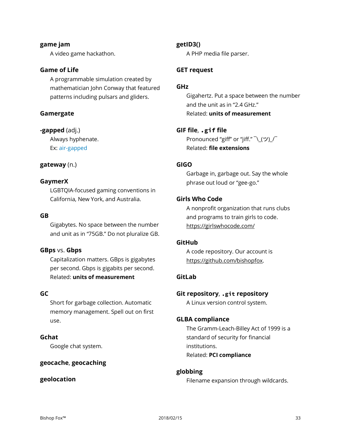#### **game jam** A video game hackathon.

#### **Game of Life**

A programmable simulation created by mathematician John Conway that featured patterns including pulsars and gliders.

#### **Gamergate**

#### **-gapped** (adj.)

Always hyphenate. Ex: air-gapped

#### **gateway** (n.)

#### **GaymerX**

LGBTQIA-focused gaming conventions in California, New York, and Australia.

#### **GB**

Gigabytes. No space between the number and unit as in "75GB." Do not pluralize GB.

#### **GBps** vs. **Gbps**

Capitalization matters. GBps is gigabytes per second. Gbps is gigabits per second. Related: **units of measurement**

#### **GC**

Short for garbage collection. Automatic memory management. Spell out on first use.

#### **Gchat**

Google chat system.

#### **geocache**, **geocaching**

#### **geolocation**

#### **getID3()**

A PHP media file parser.

#### **GET request**

#### **GHz**

Gigahertz. Put a space between the number and the unit as in "2.4 GHz." Related: **units of measurement**

#### **GIF file**, **.gif file**

Pronounced "giff" or "jiff."  $\bar{\wedge}$  (ツ)  $\bar{\wedge}$ Related: **file extensions**

#### **GIGO**

Garbage in, garbage out. Say the whole phrase out loud or "gee-go."

#### **Girls Who Code**

A nonprofit organization that runs clubs and programs to train girls to code. https://girlswhocode.com/

#### **GitHub**

A code repository. Our account is https://github.com/bishopfox.

#### **GitLab**

#### **Git repository**, **.git repository**

A Linux version control system.

#### **GLBA compliance**

The Gramm-Leach-Billey Act of 1999 is a standard of security for financial institutions. Related: **PCI compliance**

#### **globbing**

Filename expansion through wildcards.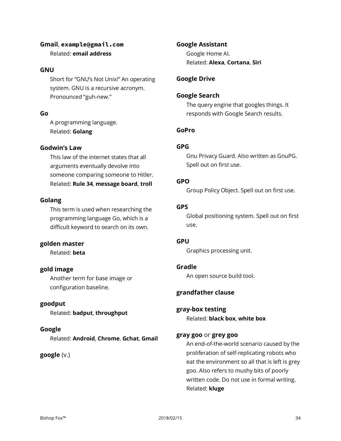#### **Gmail**, **example@gmail.com** Related: **email address**

#### **GNU**

Short for "GNU's Not Unix!" An operating system. GNU is a recursive acronym. Pronounced "guh-new."

#### **Go**

A programming language. Related: **Golang**

#### **Godwin's Law**

This law of the internet states that all arguments eventually devolve into someone comparing someone to Hitler. Related: **Rule 34**, **message board**, **troll**

#### **Golang**

This term is used when researching the programming language Go, which is a difficult keyword to search on its own.

#### **golden master**

Related: **beta**

#### **gold image**

Another term for base image or configuration baseline.

#### **goodput**

Related: **badput**, **throughput**

#### **Google**

Related: **Android**, **Chrome**, **Gchat**, **Gmail**

#### **google** (v.)

**Google Assistant** Google Home AI. Related: **Alexa**, **Cortana**, **Siri**

#### **Google Drive**

#### **Google Search**

The query engine that googles things. It responds with Google Search results.

#### **GoPro**

#### **GPG**

Gnu Privacy Guard. Also written as GnuPG. Spell out on first use.

#### **GPO**

Group Policy Object. Spell out on first use.

#### **GPS**

Global positioning system. Spell out on first use.

#### **GPU**

Graphics processing unit.

#### **Gradle**

An open source build tool.

#### **grandfather clause**

#### **gray-box testing**

Related: **black box**, **white box**

#### **gray goo** or **grey goo**

An end-of-the-world scenario caused by the proliferation of self-replicating robots who eat the environment so all that is left is grey goo. Also refers to mushy bits of poorly written code. Do not use in formal writing. Related: **kluge**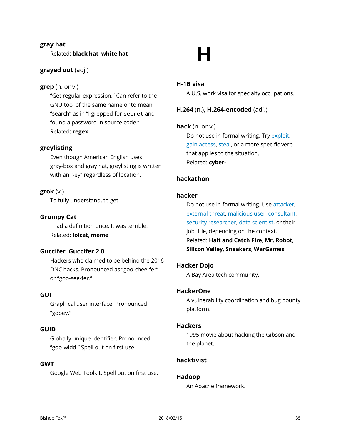#### **gray hat**

Related: **black hat**, **white hat**

#### **grayed out** (adj.)

#### **grep** (n. or v.)

"Get regular expression." Can refer to the GNU tool of the same name or to mean "search" as in "I grepped for secret and found a password in source code." Related: **regex**

#### **greylisting**

Even though American English uses gray-box and gray hat, greylisting is written with an "-ey" regardless of location.

#### **grok** (v.)

To fully understand, to get.

#### **Grumpy Cat**

I had a definition once. It was terrible. Related: **lolcat**, **meme**

#### **Guccifer**, **Guccifer 2.0**

Hackers who claimed to be behind the 2016 DNC hacks. Pronounced as "goo-chee-fer" or "goo-see-fer."

#### **GUI**

Graphical user interface. Pronounced "gooey."

#### **GUID**

Globally unique identifier. Pronounced "goo-widd." Spell out on first use.

#### **GWT**

Google Web Toolkit. Spell out on first use.

# **H**

#### **H-1B visa**

A U.S. work visa for specialty occupations.

#### **H.264** (n.), **H.264-encoded** (adj.)

#### **hack** (n. or v.)

Do not use in formal writing. Try exploit, gain access, steal, or a more specific verb that applies to the situation. Related: **cyber-**

#### **hackathon**

#### **hacker**

Do not use in formal writing. Use attacker, external threat, malicious user, consultant, security researcher, data scientist, or their job title, depending on the context. Related: **Halt and Catch Fire**, **Mr. Robot**, **Silicon Valley**, **Sneakers**, **WarGames**

#### **Hacker Dojo**

A Bay Area tech community.

#### **HackerOne**

A vulnerability coordination and bug bounty platform.

#### **Hackers**

1995 movie about hacking the Gibson and the planet.

#### **hacktivist**

#### **Hadoop**

An Apache framework.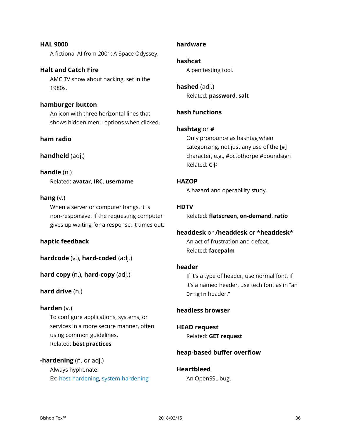**HAL 9000** A fictional AI from 2001: A Space Odyssey.

#### **Halt and Catch Fire** AMC TV show about hacking, set in the 1980s.

#### **hamburger button**

An icon with three horizontal lines that shows hidden menu options when clicked.

#### **ham radio**

#### **handheld** (adj.)

#### **handle** (n.)

Related: **avatar**, **IRC**, **username**

#### **hang** (v.)

When a server or computer hangs, it is non-responsive. If the requesting computer gives up waiting for a response, it times out.

#### **haptic feedback**

**hardcode** (v.), **hard-coded** (adj.)

**hard copy** (n.), **hard-copy** (adj.)

#### **hard drive** (n.)

#### **harden** (v.)

To configure applications, systems, or services in a more secure manner, often using common guidelines. Related: **best practices**

#### **-hardening** (n. or adj.) Always hyphenate. Ex: host-hardening, system-hardening

#### **hardware**

#### **hashcat**

A pen testing tool.

**hashed** (adj.) Related: **password**, **salt**

#### **hash functions**

#### **hashtag** or **#**

Only pronounce as hashtag when categorizing, not just any use of the [#] character, e.g., #octothorpe #poundsign Related: **C**♯

#### **HAZOP**

A hazard and operability study.

#### **HDTV**

Related: **flatscreen**, **on-demand**, **ratio**

### **headdesk** or **/headdesk** or **\*headdesk\***

An act of frustration and defeat. Related: **facepalm**

#### **header**

If it's a type of header, use normal font. if it's a named header, use tech font as in "an Origin header."

#### **headless browser**

#### **HEAD request** Related: **GET request**

#### **heap-based buffer overflow**

### **Heartbleed**

An OpenSSL bug.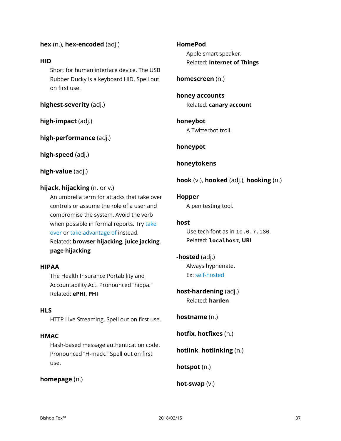# **hex** (n.), **hex-encoded** (adj.)

# **HID**

Short for human interface device. The USB Rubber Ducky is a keyboard HID. Spell out on first use.

**highest-severity** (adj.)

**high-impact** (adj.)

**high-performance** (adj.)

**high-speed** (adj.)

**high-value** (adj.)

# **hijack**, **hijacking** (n. or v.)

An umbrella term for attacks that take over controls or assume the role of a user and compromise the system. Avoid the verb when possible in formal reports. Try take over or take advantage of instead. Related: **browser hijacking**, **juice jacking**, **page-hijacking**

# **HIPAA**

The Health Insurance Portability and Accountability Act. Pronounced "hippa." Related: **ePHI**, **PHI**

# **HLS**

HTTP Live Streaming. Spell out on first use.

# **HMAC**

Hash-based message authentication code. Pronounced "H-mack." Spell out on first use.

**homepage** (n.)

**HomePod** Apple smart speaker. Related: **Internet of Things**

**homescreen** (n.)

**honey accounts** Related: **canary account**

**honeybot** A Twitterbot troll.

**honeypot**

**honeytokens**

**hook** (v.), **hooked** (adj.), **hooking** (n.)

# **Hopper**

A pen testing tool.

# **host**

Use tech font as in 10.0.7.180. Related: **localhost**, **URI**

# **-hosted** (adj.)

Always hyphenate. Ex: self-hosted

**host-hardening** (adj.) Related: **harden**

**hostname** (n.)

**hotfix**, **hotfixes** (n.)

**hotlink**, **hotlinking** (n.)

**hotspot** (n.)

**hot-swap** (v.)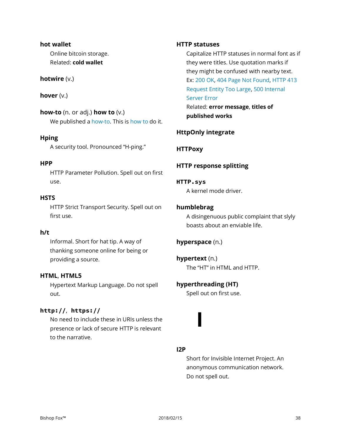#### **hot wallet**

Online bitcoin storage. Related: **cold wallet**

# **hotwire** (v.)

# **hover** (v.)

**how-to** (n. or adj.) **how to** (v.) We published a how-to. This is how to do it.

# **Hping**

A security tool. Pronounced "H-ping."

# **HPP**

HTTP Parameter Pollution. Spell out on first use.

# **HSTS**

HTTP Strict Transport Security. Spell out on first use.

# **h/t**

Informal. Short for hat tip. A way of thanking someone online for being or providing a source.

# **HTML**, **HTML5**

Hypertext Markup Language. Do not spell out.

# **http://**, **https://**

No need to include these in URIs unless the presence or lack of secure HTTP is relevant to the narrative.

#### **HTTP statuses**

Capitalize HTTP statuses in normal font as if they were titles. Use quotation marks if they might be confused with nearby text. Ex: 200 OK, 404 Page Not Found, HTTP 413 Request Entity Too Large, 500 Internal Server Error Related: **error message**, **titles of published works**

# **HttpOnly integrate**

# **HTTPoxy**

# **HTTP response splitting**

#### **HTTP.sys**

A kernel mode driver.

# **humblebrag**

A disingenuous public complaint that slyly boasts about an enviable life.

# **hyperspace** (n.)

**hypertext** (n.) The "HT" in HTML and HTTP.

# **hyperthreading (HT)**

**I**

Spell out on first use.

# **I2P**

Short for Invisible Internet Project. An anonymous communication network. Do not spell out.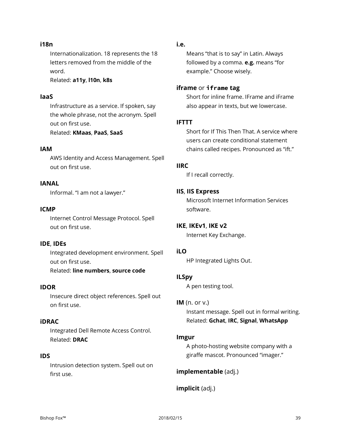#### **i18n**

Internationalization. 18 represents the 18 letters removed from the middle of the word.

Related: **a11y**, **l10n**, **k8s**

#### **IaaS**

Infrastructure as a service. If spoken, say the whole phrase, not the acronym. Spell out on first use.

Related: **KMaas**, **PaaS**, **SaaS**

#### **IAM**

AWS Identity and Access Management. Spell out on first use.

# **IANAL**

Informal. "I am not a lawyer."

#### **ICMP**

Internet Control Message Protocol. Spell out on first use.

#### **IDE**, **IDEs**

Integrated development environment. Spell out on first use. Related: **line numbers**, **source code**

#### **IDOR**

Insecure direct object references. Spell out on first use.

#### **iDRAC**

Integrated Dell Remote Access Control. Related: **DRAC**

#### **IDS**

Intrusion detection system. Spell out on first use.

#### **i.e.**

Means "that is to say" in Latin. Always followed by a comma. **e.g.** means "for example." Choose wisely.

#### **iframe** or **iframe tag**

Short for inline frame. IFrame and iFrame also appear in texts, but we lowercase.

#### **IFTTT**

Short for If This Then That. A service where users can create conditional statement chains called recipes. Pronounced as "ift."

#### **IIRC**

If I recall correctly.

#### **IIS**, **IIS Express**

Microsoft Internet Information Services software.

#### **IKE**, **IKEv1**, **IKE v2**

Internet Key Exchange.

# **iLO**

HP Integrated Lights Out.

#### **ILSpy**

A pen testing tool.

#### **IM** (n. or v.)

Instant message. Spell out in formal writing. Related: **Gchat**, **IRC**, **Signal**, **WhatsApp**

#### **Imgur**

A photo-hosting website company with a giraffe mascot. Pronounced "imager."

#### **implementable** (adj.)

#### **implicit** (adj.)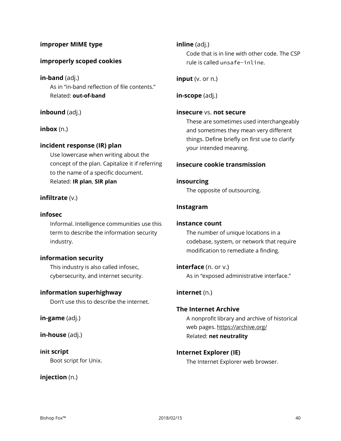# **improper MIME type**

# **improperly scoped cookies**

**in-band** (adj.) As in "in-band reflection of file contents." Related: **out-of-band**

#### **inbound** (adj.)

#### **inbox** (n.)

#### **incident response (IR) plan**

Use lowercase when writing about the concept of the plan. Capitalize it if referring to the name of a specific document. Related: **IR plan**, **SIR plan**

#### **infiltrate** (v.)

#### **infosec**

Informal. Intelligence communities use this term to describe the information security industry.

#### **information security**

This industry is also called infosec, cybersecurity, and internet security.

#### **information superhighway**

Don't use this to describe the internet.

**in-game** (adj.)

**in-house** (adj.)

#### **init script**

Boot script for Unix.

**injection** (n.)

**inline** (adj.) Code that is in line with other code. The CSP rule is called unsafe-inline.

**input** (v. or n.)

**in-scope** (adj.)

#### **insecure** vs. **not secure**

These are sometimes used interchangeably and sometimes they mean very different things. Define briefly on first use to clarify your intended meaning.

#### **insecure cookie transmission**

#### **insourcing**

The opposite of outsourcing.

#### **Instagram**

#### **instance count**

The number of unique locations in a codebase, system, or network that require modification to remediate a finding.

**interface** (n. or v.) As in "exposed administrative interface."

#### **internet** (n.)

#### **The Internet Archive**

A nonprofit library and archive of historical web pages. https://archive.org/ Related: **net neutrality**

#### **Internet Explorer (IE)**

The Internet Explorer web browser.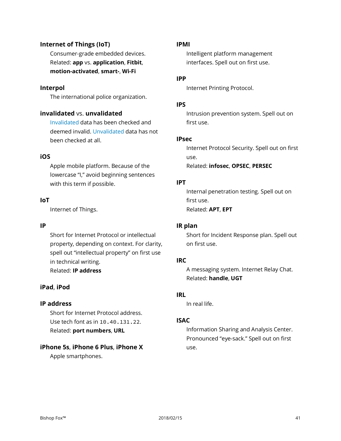# **Internet of Things (IoT)**

Consumer-grade embedded devices. Related: **app** vs. **application**, **Fitbit**, **motion-activated**, **smart-**, **Wi-Fi**

#### **Interpol**

The international police organization.

# **invalidated** vs. **unvalidated**

Invalidated data has been checked and deemed invalid. Unvalidated data has not been checked at all.

#### **iOS**

Apple mobile platform. Because of the lowercase "I," avoid beginning sentences with this term if possible.

#### **IoT**

Internet of Things.

#### **IP**

Short for Internet Protocol or intellectual property, depending on context. For clarity, spell out "intellectual property" on first use in technical writing. Related: **IP address**

#### **iPad**, **iPod**

#### **IP address**

Short for Internet Protocol address. Use tech font as in 10.40.131.22. Related: **port numbers**, **URL**

#### **iPhone 5s**, **iPhone 6 Plus**, **iPhone X**

Apple smartphones.

#### **IPMI**

Intelligent platform management interfaces. Spell out on first use.

#### **IPP**

Internet Printing Protocol.

#### **IPS**

Intrusion prevention system. Spell out on first use.

#### **IPsec**

Internet Protocol Security. Spell out on first use. Related: **infosec**, **OPSEC**, **PERSEC**

#### **IPT**

Internal penetration testing. Spell out on first use. Related: **APT**, **EPT**

#### **IR plan**

Short for Incident Response plan. Spell out on first use.

#### **IRC**

A messaging system. Internet Relay Chat. Related: **handle**, **UGT**

#### **IRL**

In real life.

#### **ISAC**

Information Sharing and Analysis Center. Pronounced "eye-sack." Spell out on first use.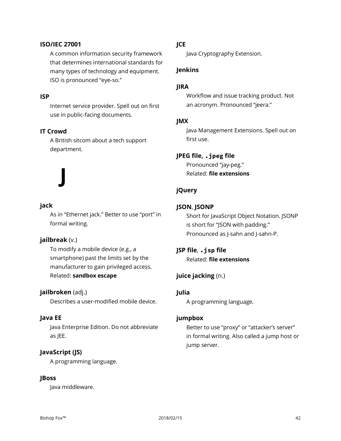#### **ISO/IEC 27001**

A common information security framework that determines international standards for many types of technology and equipment. ISO is pronounced "eye-so."

#### **ISP**

Internet service provider. Spell out on first use in public-facing documents.

#### **IT Crowd**

A British sitcom about a tech support department.

# **jack**

As in "Ethernet jack." Better to use "port" in formal writing.

#### **jailbreak** (v.)

**J**

To modify a mobile device (e.g., a smartphone) past the limits set by the manufacturer to gain privileged access. Related: **sandbox escape**

#### **jailbroken** (adj.)

Describes a user-modified mobile device.

#### **Java EE**

Java Enterprise Edition. Do not abbreviate as JEE.

#### **JavaScript (JS)**

A programming language.

#### **JBoss**

Java middleware.

# **JCE**

Java Cryptography Extension.

# **Jenkins**

#### **JIRA**

Workflow and issue tracking product. Not an acronym. Pronounced "jeera."

#### **JMX**

Java Management Extensions. Spell out on first use.

#### **JPEG file, .jpeg file**

Pronounced "jay-peg." Related: **file extensions**

#### **jQuery**

### **JSON**, **JSONP**

Short for JavaScript Object Notation. JSONP is short for "JSON with padding." Pronounced as J-sahn and J-sahn-P.

**JSP file**, **.jsp file** Related: **file extensions**

#### **juice jacking** (n.)

#### **Julia**

A programming language.

#### **jumpbox**

Better to use "proxy" or "attacker's server" in formal writing. Also called a jump host or jump server.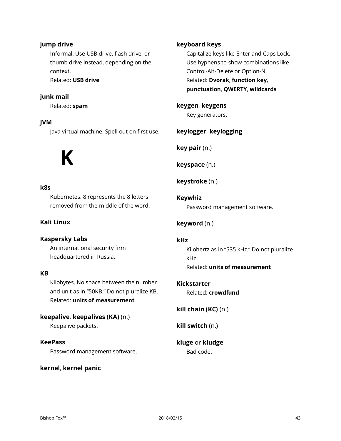# **jump drive**

Informal. Use USB drive, flash drive, or thumb drive instead, depending on the context. Related: **USB drive**

# **junk mail**

Related: **spam**

# **JVM**

Java virtual machine. Spell out on first use.

# **K**

#### **k8s**

Kubernetes. 8 represents the 8 letters removed from the middle of the word.

# **Kali Linux**

#### **Kaspersky Labs**

An international security firm headquartered in Russia.

# **KB**

Kilobytes. No space between the number and unit as in "50KB." Do not pluralize KB. Related: **units of measurement**

**keepalive**, **keepalives (KA)** (n.) Keepalive packets.

#### **KeePass**

Password management software.

#### **kernel**, **kernel panic**

# **keyboard keys**

Capitalize keys like Enter and Caps Lock. Use hyphens to show combinations like Control-Alt-Delete or Option-N. Related: **Dvorak**, **function key**, **punctuation**, **QWERTY**, **wildcards**

**keygen**, **keygens** Key generators.

#### **keylogger**, **keylogging**

**key pair** (n.)

**keyspace** (n.)

**keystroke** (n.)

**Keywhiz** Password management software.

# **keyword** (n.)

#### **kHz**

Kilohertz as in "535 kHz." Do not pluralize kHz. Related: **units of measurement**

#### **Kickstarter**

Related: **crowdfund**

**kill chain (KC)** (n.)

**kill switch** (n.)

# **kluge** or **kludge** Bad code.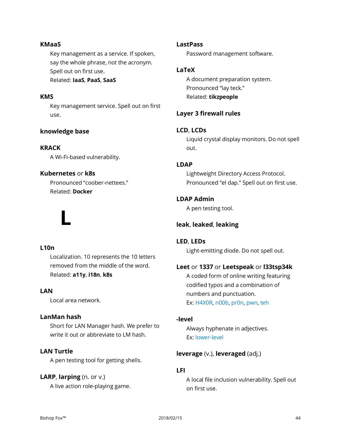#### **KMaaS**

Key management as a service. If spoken, say the whole phrase, not the acronym. Spell out on first use. Related: **IaaS**, **PaaS**, **SaaS**

# **KMS**

Key management service. Spell out on first use.

#### **knowledge base**

#### **KRACK**

A Wi-Fi-based vulnerability.

#### **Kubernetes** or **k8s**

**L**

Pronounced "coober-nettees." Related: **Docker**

#### **LastPass**

Password management software.

#### **LaTeX**

A document preparation system. Pronounced "lay teck." Related: **tikzpeople**

# **Layer 3 firewall rules**

#### **LCD**, **LCDs**

Liquid crystal display monitors. Do not spell out.

#### **LDAP**

Lightweight Directory Access Protocol. Pronounced "el dap." Spell out on first use.

# **LDAP Admin**

A pen testing tool.

#### **leak**, **leaked**, **leaking**

#### **L10n**

Localization. 10 represents the 10 letters removed from the middle of the word. Related: **a11y**, **i18n**, **k8s**

# **LAN**

Local area network.

#### **LanMan hash**

Short for LAN Manager hash. We prefer to write it out or abbreviate to LM hash.

#### **LAN Turtle**

A pen testing tool for getting shells.

#### **LARP**, **larping** (n. or v.)

A live action role-playing game.

#### **LED**, **LEDs**

Light-emitting diode. Do not spell out.

#### **Leet** or **1337** or **Leetspeak** or **l33tsp34k**

A coded form of online writing featuring codified typos and a combination of numbers and punctuation. Ex: H4X0R, n00b, pr0n, pwn, teh

#### **-level**

Always hyphenate in adjectives. Ex: lower-level

#### **leverage** (v.), **leveraged** (adj.)

# **LFI**

A local file inclusion vulnerability. Spell out on first use.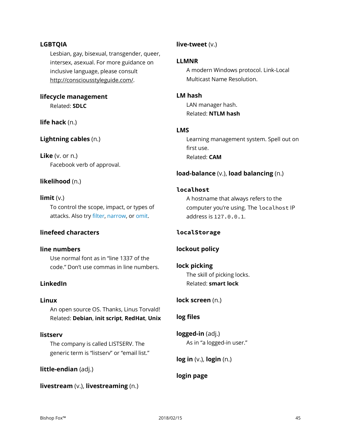#### **LGBTQIA**

Lesbian, gay, bisexual, transgender, queer, intersex, asexual. For more guidance on inclusive language, please consult http://consciousstyleguide.com/.

# **lifecycle management** Related: **SDLC**

**life hack** (n.)

# **Lightning cables** (n.)

**Like** (v. or n.) Facebook verb of approval.

# **likelihood** (n.)

#### **limit** (v.)

To control the scope, impact, or types of attacks. Also try filter, narrow, or omit.

#### **linefeed characters**

#### **line numbers**

Use normal font as in "line 1337 of the code." Don't use commas in line numbers.

#### **LinkedIn**

#### **Linux**

An open source OS. Thanks, Linus Torvald! Related: **Debian**, **init script**, **RedHat**, **Unix**

#### **listserv**

The company is called LISTSERV. The generic term is "listserv" or "email list."

#### **little-endian** (adj.)

**livestream** (v.), **livestreaming** (n.)

# **live-tweet** (v.)

#### **LLMNR**

A modern Windows protocol. Link-Local Multicast Name Resolution.

### **LM hash**

LAN manager hash. Related: **NTLM hash**

#### **LMS**

Learning management system. Spell out on first use. Related: **CAM**

#### **load-balance** (v.), **load balancing** (n.)

#### **localhost**

A hostname that always refers to the computer you're using. The localhost IP address is 127.0.0.1.

#### **localStorage**

# **lockout policy**

**lock picking** The skill of picking locks. Related: **smart lock**

**lock screen** (n.)

#### **log files**

**logged-in** (adj.) As in "a logged-in user."

**log in** (v.), **login** (n.)

# **login page**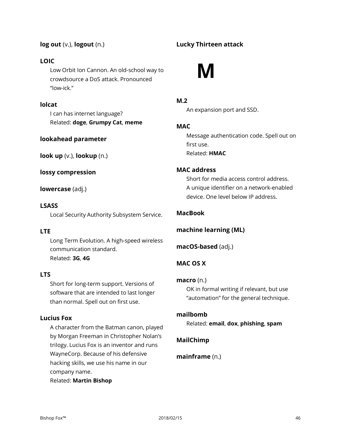# **log out** (v.), **logout** (n.)

# **LOIC**

Low Orbit Ion Cannon. An old-school way to crowdsource a DoS attack. Pronounced "low-ick."

# **lolcat**

I can has internet language? Related: **doge**, **Grumpy Cat**, **meme**

# **lookahead parameter**

**look up** (v.), **lookup** (n.)

**lossy compression**

**lowercase** (adj.)

# **LSASS**

Local Security Authority Subsystem Service.

# **LTE**

Long Term Evolution. A high-speed wireless communication standard. Related: **3G**, **4G**

# **LTS**

Short for long-term support. Versions of software that are intended to last longer than normal. Spell out on first use.

# **Lucius Fox**

A character from the Batman canon, played by Morgan Freeman in Christopher Nolan's trilogy. Lucius Fox is an inventor and runs WayneCorp. Because of his defensive hacking skills, we use his name in our company name.

Related: **Martin Bishop**

# **Lucky Thirteen attack**



# **M.2**

An expansion port and SSD.

# **MAC**

Message authentication code. Spell out on first use. Related: **HMAC**

# **MAC address**

Short for media access control address. A unique identifier on a network-enabled device. One level below IP address.

# **MacBook**

**machine learning (ML)**

**macOS-based** (adj.)

# **MAC OS X**

#### **macro** (n.)

OK in formal writing if relevant, but use "automation" for the general technique.

#### **mailbomb**

Related: **email**, **dox**, **phishing**, **spam**

# **MailChimp**

**mainframe** (n.)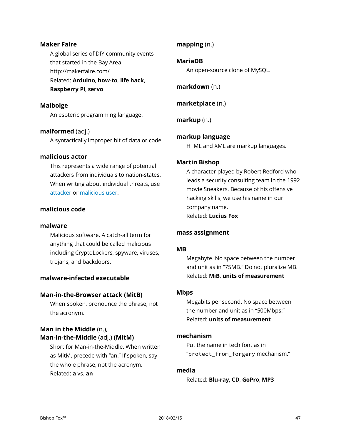#### **Maker Faire**

A global series of DIY community events that started in the Bay Area. <http://makerfaire.com/> Related: **Arduino**, **how-to**, **life hack**, **Raspberry Pi**, **servo**

#### **Malbolge**

An esoteric programming language.

#### **malformed** (adj.)

A syntactically improper bit of data or code.

#### **malicious actor**

This represents a wide range of potential attackers from individuals to nation-states. When writing about individual threats, use attacker or malicious user.

#### **malicious code**

#### **malware**

Malicious software. A catch-all term for anything that could be called malicious including CryptoLockers, spyware, viruses, trojans, and backdoors.

#### **malware-infected executable**

#### **Man-in-the-Browser attack (MitB)**

When spoken, pronounce the phrase, not the acronym.

# **Man in the Middle** (n.), **Man-in-the-Middle** (adj.) **(MitM)**

Short for Man-in-the-Middle. When written as MitM, precede with "an." If spoken, say the whole phrase, not the acronym. Related: **a** vs. **an**

#### **mapping** (n.)

#### **MariaDB**

An open-source clone of MySQL.

**markdown** (n.)

**marketplace** (n.)

**markup** (n.)

#### **markup language**

HTML and XML are markup languages.

#### **Martin Bishop**

A character played by Robert Redford who leads a security consulting team in the 1992 movie Sneakers. Because of his offensive hacking skills, we use his name in our company name. Related: **Lucius Fox**

#### **mass assignment**

#### **MB**

Megabyte. No space between the number and unit as in "75MB." Do not pluralize MB. Related: **MiB**, **units of measurement**

#### **Mbps**

Megabits per second. No space between the number and unit as in "500Mbps." Related: **units of measurement**

#### **mechanism**

Put the name in tech font as in "protect from forgery mechanism."

#### **media**

Related: **Blu-ray**, **CD**, **GoPro**, **MP3**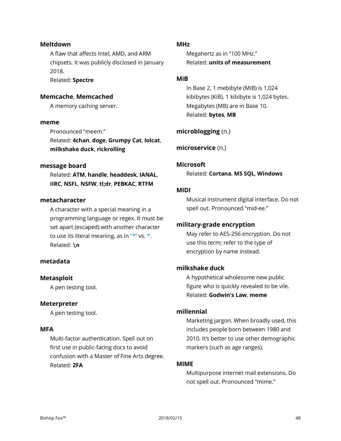#### **Meltdown**

A flaw that affects Intel, AMD, and ARM chipsets. It was publicly disclosed in January 2018. Related: **Spectre**

# **Memcache**, **Memcached**

A memory caching server.

#### **meme**

Pronounced "meem." Related: **4chan**, **doge**, **Grumpy Cat**, **lolcat**, **milkshake duck**, **rickrolling**

#### **message board**

Related: **ATM**, **handle**, **headdesk**, **IANAL**, **IIRC**, **NSFL**, **NSFW**, **tl;dr**, **PEBKAC**, **RTFM**

#### **metacharacter**

A character with a special meaning in a programming language or regex. It must be set apart (escaped) with another character to use its literal meaning, as in  $"**"$  vs.  $*$ . Related: **\n**

# **metadata**

#### **Metasploit**

A pen testing tool.

#### **Meterpreter**

A pen testing tool.

#### **MFA**

Multi-factor authentication. Spell out on first use in public-facing docs to avoid confusion with a Master of Fine Arts degree. Related: **2FA**

#### **MHz**

Megahertz as in "100 MHz." Related: **units of measurement**

#### **MiB**

In Base 2, 1 mebibyte (MiB) is 1,024 kibibytes (KiB). 1 kibibyte is 1,024 bytes. Megabytes (MB) are in Base 10. Related: **bytes**, **MB**

#### **microblogging** (n.)

**microservice** (n.)

#### **Microsoft**

Related: **Cortana**, **MS SQL**, **Windows**

#### **MIDI**

Musical instrument digital interface. Do not spell out. Pronounced "mid-ee."

#### **military-grade encryption**

May refer to AES-256 encryption. Do not use this term; refer to the type of encryption by name instead.

#### **milkshake duck**

A hypothetical wholesome new public figure who is quickly revealed to be vile. Related: **Godwin's Law**, **meme**

#### **millennial**

Marketing jargon. When broadly used, this includes people born between 1980 and 2010. It's better to use other demographic markers (such as age ranges).

#### **MIME**

Multipurpose internet mail extensions. Do not spell out. Pronounced "mime."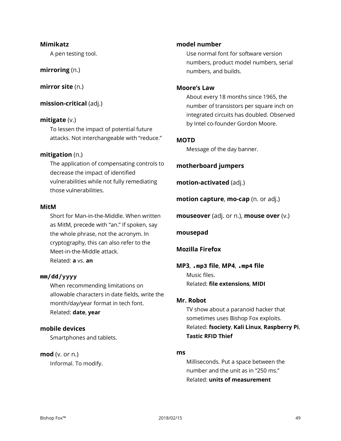#### **Mimikatz**

A pen testing tool.

**mirroring** (n.)

**mirror site** (n.)

**mission-critical** (adj.)

#### **mitigate** (v.)

To lessen the impact of potential future attacks. Not interchangeable with "reduce."

#### **mitigation** (n.)

The application of compensating controls to decrease the impact of identified vulnerabilities while not fully remediating those vulnerabilities.

#### **MitM**

Short for Man-in-the-Middle. When written as MitM, precede with "an." If spoken, say the whole phrase, not the acronym. In cryptography, this can also refer to the Meet-in-the-Middle attack. Related: **a** vs. **an**

#### **mm/dd/yyyy**

When recommending limitations on allowable characters in date fields, write the month/day/year format in tech font. Related: **date**, **year**

#### **mobile devices**

Smartphones and tablets.

#### **mod** (v. or n.)

Informal. To modify.

#### **model number**

Use normal font for software version numbers, product model numbers, serial numbers, and builds.

#### **Moore's Law**

About every 18 months since 1965, the number of transistors per square inch on integrated circuits has doubled. Observed by Intel co-founder Gordon Moore.

#### **MOTD**

Message of the day banner.

**motherboard jumpers**

**motion-activated** (adj.)

**motion capture**, **mo-cap** (n. or adj.)

**mouseover** (adj. or n.), **mouse over** (v.)

#### **mousepad**

#### **Mozilla Firefox**

**MP3**, **.mp3 file**, **MP4**, **.mp4 file** Music files. Related: **file extensions**, **MIDI**

#### **Mr. Robot**

TV show about a paranoid hacker that sometimes uses Bishop Fox exploits. Related: **fsociety**, **Kali Linux**, **Raspberry Pi**, **Tastic RFID Thief**

#### **ms**

Milliseconds. Put a space between the number and the unit as in "250 ms." Related: **units of measurement**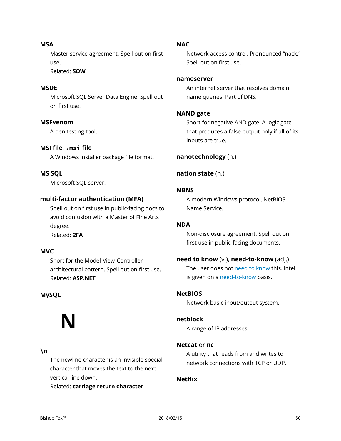**MSA** Master service agreement. Spell out on first use.

Related: **SOW**

# **MSDE**

Microsoft SQL Server Data Engine. Spell out on first use.

#### **MSFvenom**

A pen testing tool.

# **MSI file**, **.msi file**

A Windows installer package file format.

# **MS SQL**

Microsoft SQL server.

# **multi-factor authentication (MFA)**

Spell out on first use in public-facing docs to avoid confusion with a Master of Fine Arts degree. Related: **2FA**

# **MVC**

Short for the Model-View-Controller architectural pattern. Spell out on first use. Related: **ASP.NET**

# **MySQL**

# **N**

#### **\n**

The newline character is an invisible special character that moves the text to the next vertical line down.

Related: **carriage return character**

#### **NAC**

Network access control. Pronounced "nack." Spell out on first use.

#### **nameserver**

An internet server that resolves domain name queries. Part of DNS.

#### **NAND gate**

Short for negative-AND gate. A logic gate that produces a false output only if all of its inputs are true.

#### **nanotechnology** (n.)

# **nation state** (n.)

#### **NBNS**

A modern Windows protocol. NetBIOS Name Service.

# **NDA**

Non-disclosure agreement. Spell out on first use in public-facing documents.

#### **need to know** (v.), **need-to-know** (adj.)

The user does not need to know this. Intel is given on a need-to-know basis.

#### **NetBIOS**

Network basic input/output system.

#### **netblock**

A range of IP addresses.

#### **Netcat** or **nc**

A utility that reads from and writes to network connections with TCP or UDP.

### **Netflix**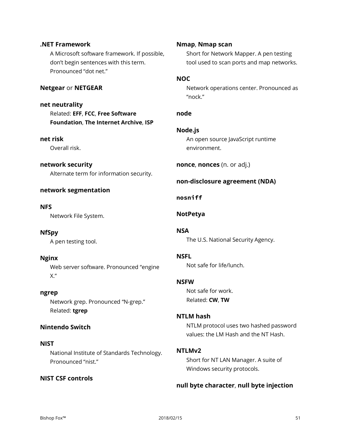# **.NET Framework** A Microsoft software framework. If possible, don't begin sentences with this term. Pronounced "dot net." **Netgear** or **NETGEAR net neutrality** Related: **EFF**, **FCC**, **Free Software Foundation**, **The Internet Archive**, **ISP net risk** Overall risk. **network security** Alternate term for information security. **network segmentation NFS** Network File System. **NfSpy** A pen testing tool. **Nginx** Web server software. Pronounced "engine X." **ngrep** Network grep. Pronounced "N-grep." Related: **tgrep Nintendo Switch NIST NOC node Node.js NSA NSFL NSFW NTLMv2**

National Institute of Standards Technology. Pronounced "nist."

# **NIST CSF controls**

#### **Nmap**, **Nmap scan**

Short for Network Mapper. A pen testing tool used to scan ports and map networks.

Network operations center. Pronounced as "nock."

An open source JavaScript runtime environment.

**nonce**, **nonces** (n. or adj.)

# **non-disclosure agreement (NDA)**

# **nosniff**

# **NotPetya**

The U.S. National Security Agency.

Not safe for life/lunch.

Not safe for work. Related: **CW**, **TW**

# **NTLM hash**

NTLM protocol uses two hashed password values: the LM Hash and the NT Hash.

Short for NT LAN Manager. A suite of Windows security protocols.

# **null byte character**, **null byte injection**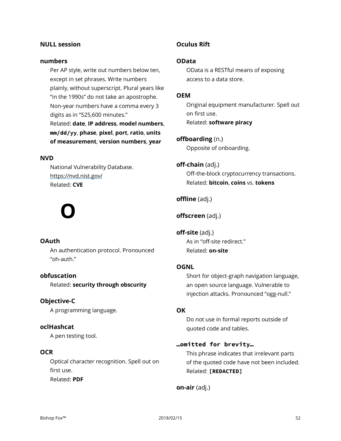#### **NULL session**

#### **numbers**

Per AP style, write out numbers below ten, except in set phrases. Write numbers plainly, without superscript. Plural years like "in the 1990s" do not take an apostrophe. Non-year numbers have a comma every 3 digits as in "525,600 minutes." Related: **date**, **IP address**, **model numbers**, **mm/dd/yy**, **phase**, **pixel**, **port**, **ratio**, **units of measurement**, **version numbers**, **year**

#### **NVD**

National Vulnerability Database. https://nvd.nist.gov/ Related: **CVE**

# **O**

#### **OAuth**

An authentication protocol. Pronounced "oh-auth."

#### **obfuscation**

Related: **security through obscurity**

# **Objective-C**

A programming language.

#### **oclHashcat**

A pen testing tool.

# **OCR**

Optical character recognition. Spell out on first use. Related: **PDF**

# **Oculus Rift**

#### **OData**

OData is a RESTful means of exposing access to a data store.

#### **OEM**

Original equipment manufacturer. Spell out on first use. Related: **software piracy**

#### **offboarding** (n.)

Opposite of onboarding.

#### **off-chain** (adj.)

Off-the-block cryptocurrency transactions. Related: **bitcoin**, **coins** vs. **tokens**

# **offline** (adj.)

#### **offscreen** (adj.)

**off-site** (adj.) As in "off-site redirect." Related: **on-site**

#### **OGNL**

Short for object-graph navigation language, an open source language. Vulnerable to injection attacks. Pronounced "ogg-null."

#### **OK**

Do not use in formal reports outside of quoted code and tables.

#### **…omitted for brevity…**

This phrase indicates that irrelevant parts of the quoted code have not been included. Related: **[REDACTED]**

**on-air** (adj.)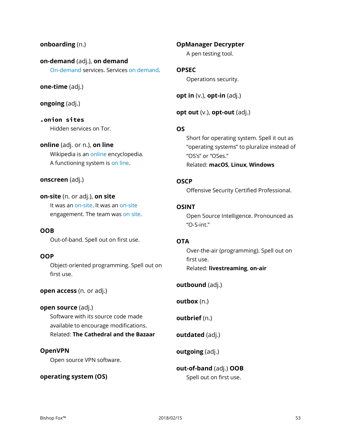### **onboarding** (n.)

**on-demand** (adj.), **on demand** On-demand services. Services on demand.

#### **one-time** (adj.)

**ongoing** (adj.)

**.onion sites** Hidden services on Tor.

# **online** (adj. or n.), **on line**

Wikipedia is an online encyclopedia. A functioning system is on line.

#### **onscreen** (adj.)

**on-site** (n. or adj.), **on site** It was an on-site. It was an on-site engagement. The team was on site.

**OOB** Out-of-band. Spell out on first use.

#### **OOP**

Object-oriented programming. Spell out on first use.

**open access** (n. or adj.)

**open source** (adj.) Software with its source code made available to encourage modifications. Related: **The Cathedral and the Bazaar**

#### **OpenVPN**

Open source VPN software.

#### **operating system (OS)**

# **OpManager Decrypter**

A pen testing tool.

# **OPSEC**

Operations security.

**opt in** (v.), **opt-in** (adj.)

# **opt out** (v.), **opt-out** (adj.)

# **OS**

Short for operating system. Spell it out as "operating systems" to pluralize instead of "OS's" or "OSes." Related: **macOS**, **Linux**, **Windows**

#### **OSCP**

Offensive Security Certified Professional.

# **OSINT**

Open Source Intelligence. Pronounced as "O-S-int."

# **OTA**

Over-the-air (programming). Spell out on first use. Related: **livestreaming**, **on-air**

**outbound** (adj.)

**outbox** (n.)

**outbrief** (n.)

**outdated** (adj.)

**outgoing** (adj.)

# **out-of-band** (adj.) **OOB** Spell out on first use.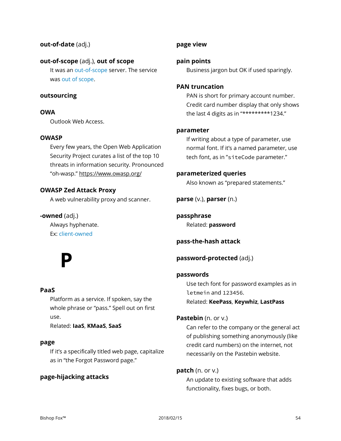### **out-of-date** (adj.)

#### **out-of-scope** (adj.), **out of scope**

It was an out-of-scope server. The service was out of scope.

#### **outsourcing**

#### **OWA**

Outlook Web Access.

#### **OWASP**

Every few years, the Open Web Application Security Project curates a list of the top 10 threats in information security. Pronounced "oh-wasp." https://www.owasp.org/

#### **OWASP Zed Attack Proxy**

A web vulnerability proxy and scanner.

#### **-owned** (adj.)

Always hyphenate. Ex: client-owned

# **P**

#### **PaaS**

Platform as a service. If spoken, say the whole phrase or "pass." Spell out on first use.

Related: **IaaS**, **KMaaS**, **SaaS**

#### **page**

If it's a specifically titled web page, capitalize as in "the Forgot Password page."

#### **page-hijacking attacks**

#### **page view**

#### **pain points**

Business jargon but OK if used sparingly.

#### **PAN truncation**

PAN is short for primary account number. Credit card number display that only shows the last 4 digits as in "\*\*\*\*\*\*\*\*\*1234."

#### **parameter**

If writing about a type of parameter, use normal font. If it's a named parameter, use tech font, as in "siteCode parameter."

#### **parameterized queries**

Also known as "prepared statements."

**parse** (v.), **parser** (n.)

**passphrase** Related: **password**

**pass-the-hash attack**

**password-protected** (adj.)

#### **passwords**

Use tech font for password examples as in letmein and 123456. Related: **KeePass**, **Keywhiz**, **LastPass**

#### **Pastebin** (n. or v.)

Can refer to the company or the general act of publishing something anonymously (like credit card numbers) on the internet, not necessarily on the Pastebin website.

#### **patch** (n. or v.)

An update to existing software that adds functionality, fixes bugs, or both.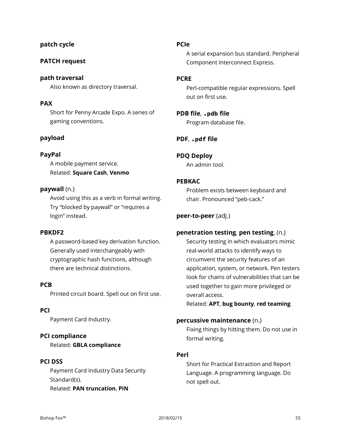# **patch cycle**

### **PATCH request**

**path traversal** Also known as directory traversal.

#### **PAX**

Short for Penny Arcade Expo. A series of gaming conventions.

#### **payload**

#### **PayPal**

A mobile payment service. Related: **Square Cash**, **Venmo**

#### **paywall** (n.)

Avoid using this as a verb in formal writing. Try "blocked by paywall" or "requires a login" instead.

#### **PBKDF2**

A password-based key derivation function. Generally used interchangeably with cryptographic hash functions, although there are technical distinctions.

#### **PCB**

Printed circuit board. Spell out on first use.

# **PCI**

Payment Card Industry.

#### **PCI compliance**

Related: **GBLA compliance**

#### **PCI DSS**

Payment Card Industry Data Security Standard(s). Related: **PAN truncation**, **PIN**

#### **PCIe**

A serial expansion bus standard. Peripheral Component Interconnect Express.

#### **PCRE**

Perl-compatible regular expressions. Spell out on first use.

# **PDB file**, **.pdb file**

Program database file.

#### **PDF**, **.pdf file**

**PDQ Deploy** An admin tool.

#### **PEBKAC**

Problem exists between keyboard and chair. Pronounced "peb-cack."

#### **peer-to-peer** (adj.)

#### **penetration testing**, **pen testing**, (n.)

Security testing in which evaluators mimic real-world attacks to identify ways to circumvent the security features of an application, system, or network. Pen testers look for chains of vulnerabilities that can be used together to gain more privileged or overall access.

Related: **APT**, **bug bounty**, **red teaming**

#### **percussive maintenance** (n.)

Fixing things by hitting them. Do not use in formal writing.

#### **Perl**

Short for Practical Extraction and Report Language. A programming language. Do not spell out.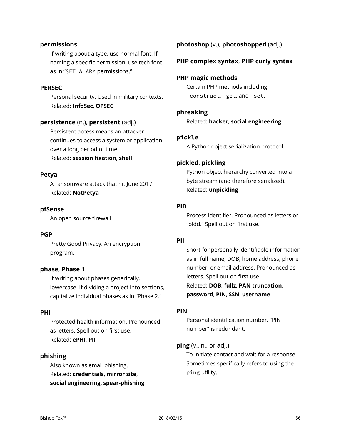#### **permissions**

If writing about a type, use normal font. If naming a specific permission, use tech font as in "SET\_ALARM permissions."

#### **PERSEC**

Personal security. Used in military contexts. Related: **InfoSec**, **OPSEC**

#### **persistence** (n.), **persistent** (adj.)

Persistent access means an attacker continues to access a system or application over a long period of time.

Related: **session fixation**, **shell**

#### **Petya**

A ransomware attack that hit June 2017. Related: **NotPetya**

#### **pfSense**

An open source firewall.

#### **PGP**

Pretty Good Privacy. An encryption program.

#### **phase**, **Phase 1**

If writing about phases generically, lowercase. If dividing a project into sections, capitalize individual phases as in "Phase 2."

#### **PHI**

Protected health information. Pronounced as letters. Spell out on first use. Related: **ePHI**, **PII**

#### **phishing**

Also known as email phishing. Related: **credentials**, **mirror site**, **social engineering**, **spear-phishing**

# **photoshop** (v.), **photoshopped** (adj.)

#### **PHP complex syntax**, **PHP curly syntax**

#### **PHP magic methods**

Certain PHP methods including \_construct, \_get, and \_set.

#### **phreaking**

Related: **hacker**, **social engineering**

#### **pickle**

A Python object serialization protocol.

#### **pickled**, **pickling**

Python object hierarchy converted into a byte stream (and therefore serialized). Related: **unpickling**

#### **PID**

Process identifier. Pronounced as letters or "pidd." Spell out on first use.

#### **PII**

Short for personally identifiable information as in full name, DOB, home address, phone number, or email address. Pronounced as letters. Spell out on first use. Related: **DOB**, **fullz**, **PAN truncation**, **password**, **PIN**, **SSN**, **username**

#### **PIN**

Personal identification number. "PIN number" is redundant.

#### **ping** (v., n., or adj.)

To initiate contact and wait for a response. Sometimes specifically refers to using the ping utility.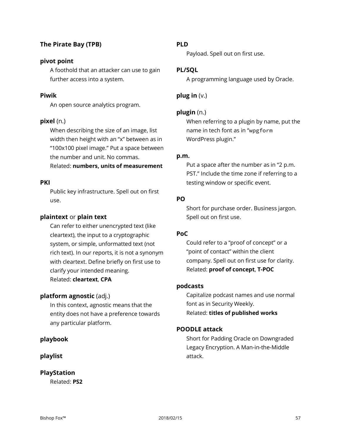# **The Pirate Bay (TPB)**

#### **pivot point**

A foothold that an attacker can use to gain further access into a system.

#### **Piwik**

An open source analytics program.

#### **pixel** (n.)

When describing the size of an image, list width then height with an "x" between as in "100x100 pixel image." Put a space between the number and unit. No commas. Related: **numbers, units of measurement**

# **PKI**

Public key infrastructure. Spell out on first use.

#### **plaintext** or **plain text**

Can refer to either unencrypted text (like cleartext), the input to a cryptographic system, or simple, unformatted text (not rich text). In our reports, it is not a synonym with cleartext. Define briefly on first use to clarify your intended meaning. Related: **cleartext**, **CPA**

#### **platform agnostic** (adj.)

In this context, agnostic means that the entity does not have a preference towards any particular platform.

#### **playbook**

#### **playlist**

### **PlayStation**

Related: **PS2**

#### **PLD**

Payload. Spell out on first use.

#### **PL/SQL**

A programming language used by Oracle.

#### **plug in** (v.)

#### **plugin** (n.)

When referring to a plugin by name, put the name in tech font as in "wpgform WordPress plugin."

#### **p.m.**

Put a space after the number as in "2 p.m. PST." Include the time zone if referring to a testing window or specific event.

#### **PO**

Short for purchase order. Business jargon. Spell out on first use.

#### **PoC**

Could refer to a "proof of concept" or a "point of contact" within the client company. Spell out on first use for clarity. Related: **proof of concept**, **T-POC**

#### **podcasts**

Capitalize podcast names and use normal font as in Security Weekly. Related: **titles of published works**

#### **POODLE attack**

Short for Padding Oracle on Downgraded Legacy Encryption. A Man-in-the-Middle attack.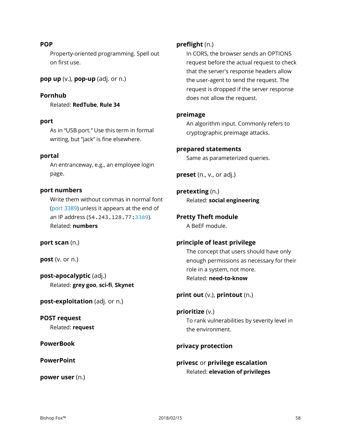#### **POP**

Property-oriented programming. Spell out on first use.

**pop up** (v.), **pop-up** (adj. or n.)

**Pornhub** Related: **RedTube**, **Rule 34**

#### **port**

As in "USB port." Use this term in formal writing, but "jack" is fine elsewhere.

#### **portal**

An entranceway, e.g., an employee login page.

#### **port numbers**

Write them without commas in normal font (port 3389) unless it appears at the end of an IP address (54.243.128.77:3389). Related: **numbers**

**port scan** (n.)

**post** (v. or n.)

**post-apocalyptic** (adj.) Related: **grey goo**, **sci-fi**, **Skynet**

**post-exploitation** (adj. or n.)

**POST request** Related: **request**

**PowerBook**

**PowerPoint**

**power user** (n.)

#### **preflight** (n.)

In CORS, the browser sends an OPTIONS request before the actual request to check that the server's response headers allow the user-agent to send the request. The request is dropped if the server response does not allow the request.

#### **preimage**

An algorithm input. Commonly refers to cryptographic preimage attacks.

#### **prepared statements**

Same as parameterized queries.

**preset** (n., v., or adj.)

**pretexting** (n.) Related: **social engineering**

#### **Pretty Theft module**

A BeEF module.

#### **principle of least privilege**

The concept that users should have only enough permissions as necessary for their role in a system, not more. Related: **need-to-know**

**print out** (v.), **printout** (n.)

**prioritize** (v.) To rank vulnerabilities by severity level in the environment.

#### **privacy protection**

**privesc** or **privilege escalation** Related: **elevation of privileges**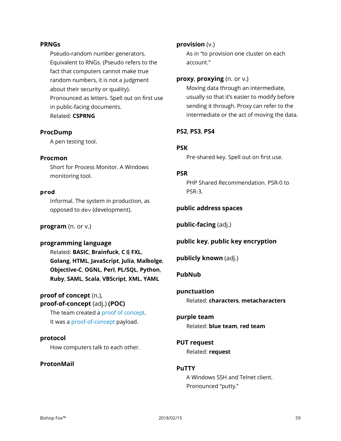#### **PRNGs**

Pseudo-random number generators. Equivalent to RNGs. (Pseudo refers to the fact that computers cannot make true random numbers, it is not a judgment about their security or quality). Pronounced as letters. Spell out on first use in public-facing documents. Related: **CSPRNG**

#### **ProcDump**

A pen testing tool.

#### **Procmon**

Short for Process Monitor. A Windows monitoring tool.

#### **prod**

Informal. The system in production, as opposed to dev (development).

**program** (n. or v.)

#### **programming language**

Related: **BASIC**, **Brainfuck**, **C**♯, **FXL**, **Golang**, **HTML**, **JavaScript**, **Julia**, **Malbolge**, **Objective-C**, **OGNL**, **Perl**, **PL/SQL**, **Python**, **Ruby**, **SAML**, **Scala**, **VBScript**, **XML**, **YAML**

# **proof of concept** (n.), **proof-of-concept** (adj.) **(POC)**

The team created a proof of concept. It was a proof-of-concept payload.

#### **protocol**

How computers talk to each other.

#### **ProtonMail**

#### **provision** (v.)

As in "to provision one cluster on each account."

#### **proxy**, **proxying** (n. or v.)

Moving data through an intermediate, usually so that it's easier to modify before sending it through. Proxy can refer to the intermediate or the act of moving the data.

#### **PS2**, **PS3**, **PS4**

#### **PSK**

Pre-shared key. Spell out on first use.

#### **PSR**

PHP Shared Recommendation. PSR-0 to PSR-3.

#### **public address spaces**

**public-facing** (adj.)

#### **public key**, **public key encryption**

**publicly known** (adj.)

#### **PubNub**

# **punctuation**

Related: **characters**, **metacharacters**

# **purple team**

Related: **blue team**, **red team**

# **PUT request** Related: **request**

#### **PuTTY**

A Windows SSH and Telnet client. Pronounced "putty."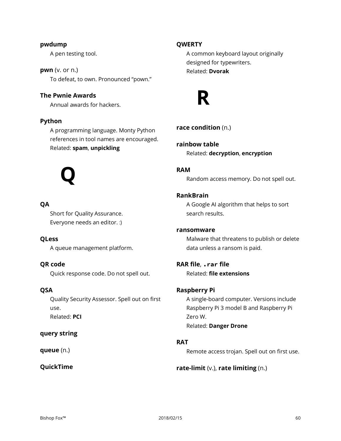#### **pwdump**

A pen testing tool.

**pwn** (v. or n.) To defeat, to own. Pronounced "pown."

# **The Pwnie Awards**

Annual awards for hackers.

#### **Python**

A programming language. Monty Python references in tool names are encouraged. Related: **spam**, **unpickling**

# **Q**

# **QA**

Short for Quality Assurance. Everyone needs an editor. :)

#### **QLess**

A queue management platform.

# **QR code**

Quick response code. Do not spell out.

#### **QSA**

Quality Security Assessor. Spell out on first use. Related: **PCI**

#### **query string**

**queue** (n.)

#### **QuickTime**

#### **QWERTY**

A common keyboard layout originally designed for typewriters. Related: **Dvorak**



# **race condition** (n.)

**rainbow table** Related: **decryption**, **encryption**

# **RAM**

Random access memory. Do not spell out.

#### **RankBrain**

A Google AI algorithm that helps to sort search results.

#### **ransomware**

Malware that threatens to publish or delete data unless a ransom is paid.

# **RAR file**, **.rar file** Related: **file extensions**

#### **Raspberry Pi**

A single-board computer. Versions include Raspberry Pi 3 model B and Raspberry Pi Zero W. Related: **Danger Drone**

#### **RAT**

Remote access trojan. Spell out on first use.

#### **rate-limit** (v.), **rate limiting** (n.)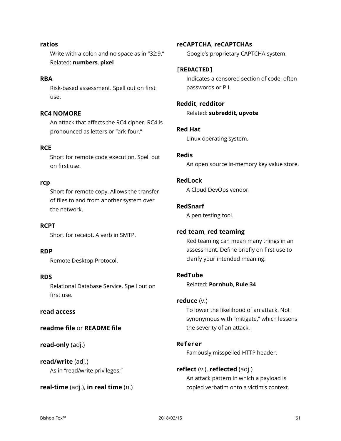#### **ratios**

Write with a colon and no space as in "32:9." Related: **numbers**, **pixel**

#### **RBA**

Risk-based assessment. Spell out on first use.

# **RC4 NOMORE**

An attack that affects the RC4 cipher. RC4 is pronounced as letters or "ark-four."

#### **RCE**

Short for remote code execution. Spell out on first use.

#### **rcp**

Short for remote copy. Allows the transfer of files to and from another system over the network.

#### **RCPT**

Short for receipt. A verb in SMTP.

#### **RDP**

Remote Desktop Protocol.

#### **RDS**

Relational Database Service. Spell out on first use.

#### **read access**

#### **readme file** or **README file**

**read-only** (adj.)

**read/write** (adj.) As in "read/write privileges."

#### **real-time** (adj.), **in real time** (n.)

#### **reCAPTCHA**, **reCAPTCHAs**

Google's proprietary CAPTCHA system.

# **[REDACTED]**

Indicates a censored section of code, often passwords or PII.

# **Reddit**, **redditor**

Related: **subreddit**, **upvote**

#### **Red Hat**

Linux operating system.

#### **Redis**

An open source in-memory key value store.

#### **RedLock**

A Cloud DevOps vendor.

#### **RedSnarf**

A pen testing tool.

#### **red team**, **red teaming**

Red teaming can mean many things in an assessment. Define briefly on first use to clarify your intended meaning.

#### **RedTube**

Related: **Pornhub**, **Rule 34**

#### **reduce** (v.)

To lower the likelihood of an attack. Not synonymous with "mitigate," which lessens the severity of an attack.

#### **Referer**

Famously misspelled HTTP header.

#### **reflect** (v.), **reflected** (adj.)

An attack pattern in which a payload is copied verbatim onto a victim's context.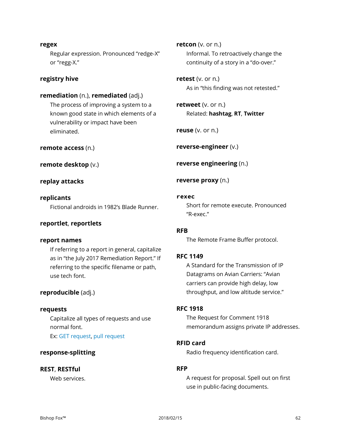#### **regex**

Regular expression. Pronounced "redge-X" or "regg-X."

#### **registry hive**

#### **remediation** (n.), **remediated** (adj.)

The process of improving a system to a known good state in which elements of a vulnerability or impact have been eliminated.

#### **remote access** (n.)

**remote desktop** (v.)

**replay attacks**

**replicants** Fictional androids in 1982's Blade Runner.

#### **reportlet**, **reportlets**

#### **report names**

If referring to a report in general, capitalize as in "the July 2017 Remediation Report." If referring to the specific filename or path, use tech font.

#### **reproducible** (adj.)

#### **requests**

Capitalize all types of requests and use normal font. Ex: GET request, pull request

#### **response-splitting**

#### **REST**, **RESTful**

Web services.

**retcon** (v. or n.) Informal. To retroactively change the continuity of a story in a "do-over."

**retest** (v. or n.) As in "this finding was not retested."

**retweet** (v. or n.) Related: **hashtag**, **RT**, **Twitter**

**reuse** (v. or n.)

**reverse-engineer** (v.)

**reverse engineering** (n.)

**reverse proxy** (n.)

#### **rexec**

Short for remote execute. Pronounced "R-exec."

#### **RFB**

The Remote Frame Buffer protocol.

#### **RFC 1149**

A Standard for the Transmission of IP Datagrams on Avian Carriers: "Avian carriers can provide high delay, low throughput, and low altitude service."

#### **RFC 1918**

The Request for Comment 1918 memorandum assigns private IP addresses.

#### **RFID card**

Radio frequency identification card.

# **RFP**

A request for proposal. Spell out on first use in public-facing documents.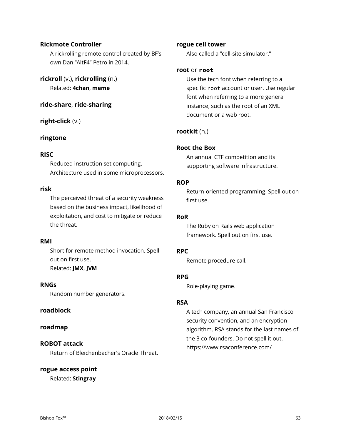#### **Rickmote Controller**

A rickrolling remote control created by BF's own Dan "AltF4" Petro in 2014.

**rickroll** (v.), **rickrolling** (n.) Related: **4chan**, **meme**

**ride-share**, **ride-sharing**

**right-click** (v.)

#### **ringtone**

#### **RISC**

Reduced instruction set computing. Architecture used in some microprocessors.

#### **risk**

The perceived threat of a security weakness based on the business impact, likelihood of exploitation, and cost to mitigate or reduce the threat.

#### **RMI**

Short for remote method invocation. Spell out on first use. Related: **JMX**, **JVM**

#### **RNGs**

Random number generators.

#### **roadblock**

#### **roadmap**

#### **ROBOT attack**

Return of Bleichenbacher's Oracle Threat.

#### **rogue access point**

Related: **Stingray**

#### **rogue cell tower**

Also called a "cell-site simulator."

#### **root** or **root**

Use the tech font when referring to a specific root account or user. Use regular font when referring to a more general instance, such as the root of an XML document or a web root.

# **rootkit** (n.)

#### **Root the Box**

An annual CTF competition and its supporting software infrastructure.

#### **ROP**

Return-oriented programming. Spell out on first use.

#### **RoR**

The Ruby on Rails web application framework. Spell out on first use.

#### **RPC**

Remote procedure call.

# **RPG**

Role-playing game.

#### **RSA**

A tech company, an annual San Francisco security convention, and an encryption algorithm. RSA stands for the last names of the 3 co-founders. Do not spell it out. https://www.rsaconference.com/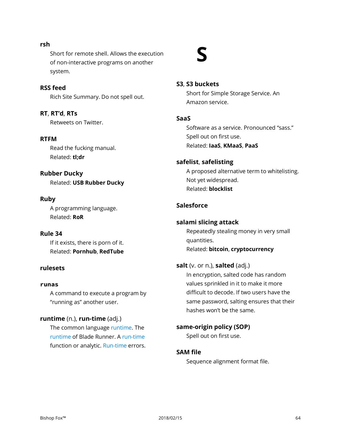Bishop Fox™ 2018/02/15 64

Short for remote shell. Allows the execution of non-interactive programs on another system.

#### **RSS feed**

**rsh**

Rich Site Summary. Do not spell out.

**RT**, **RT'd**, **RTs** Retweets on Twitter.

#### **RTFM**

Read the fucking manual. Related: **tl;dr**

#### **Rubber Ducky**

Related: **USB Rubber Ducky**

#### **Ruby**

A programming language. Related: **RoR**

# **Rule 34**

If it exists, there is porn of it. Related: **Pornhub**, **RedTube**

#### **rulesets**

#### **runas**

A command to execute a program by "running as" another user.

#### **runtime** (n.), **run-time** (adj.)

The common language runtime. The runtime of Blade Runner. A run-time function or analytic. Run-time errors.

#### **S3**, **S3 buckets**

**S**

Short for Simple Storage Service. An Amazon service.

#### **SaaS**

Software as a service. Pronounced "sass." Spell out on first use. Related: **IaaS**, **KMaaS**, **PaaS**

#### **safelist**, **safelisting**

A proposed alternative term to whitelisting. Not yet widespread. Related: **blocklist**

# **Salesforce**

#### **salami slicing attack**

Repeatedly stealing money in very small quantities. Related: **bitcoin**, **cryptocurrency**

#### **salt** (v. or n.), **salted** (adj.)

In encryption, salted code has random values sprinkled in it to make it more difficult to decode. If two users have the same password, salting ensures that their hashes won't be the same.

**same-origin policy (SOP)** Spell out on first use.

#### **SAM file**

Sequence alignment format file.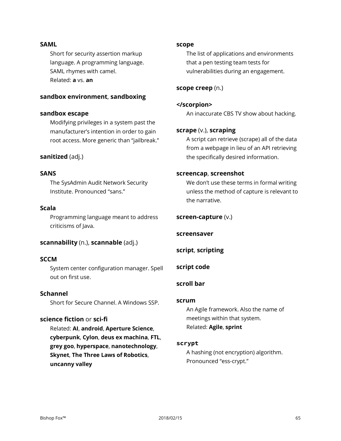#### **SAML**

Short for security assertion markup language. A programming language. SAML rhymes with camel. Related: **a** vs. **an**

#### **sandbox environment**, **sandboxing**

#### **sandbox escape**

Modifying privileges in a system past the manufacturer's intention in order to gain root access. More generic than "jailbreak."

#### **sanitized** (adj.)

#### **SANS**

The SysAdmin Audit Network Security Institute. Pronounced "sans."

#### **Scala**

Programming language meant to address criticisms of Java.

#### **scannability** (n.), **scannable** (adj.)

#### **SCCM**

System center configuration manager. Spell out on first use.

#### **Schannel**

Short for Secure Channel. A Windows SSP.

#### **science fiction** or **sci-fi**

Related: **AI**, **android**, **Aperture Science**, **cyberpunk**, **Cylon**, **deus ex machina**, **FTL**, **grey goo**, **hyperspace**, **nanotechnology**, **Skynet**, **The Three Laws of Robotics**, **uncanny valley**

#### **scope**

The list of applications and environments that a pen testing team tests for vulnerabilities during an engagement.

#### **scope creep** (n.)

**</scorpion>** An inaccurate CBS TV show about hacking.

#### **scrape** (v.), **scraping**

A script can retrieve (scrape) all of the data from a webpage in lieu of an API retrieving the specifically desired information.

#### **screencap**, **screenshot**

We don't use these terms in formal writing unless the method of capture is relevant to the narrative.

#### **screen-capture** (v.)

#### **screensaver**

**script**, **scripting**

#### **script code**

#### **scroll bar**

#### **scrum**

An Agile framework. Also the name of meetings within that system. Related: **Agile**, **sprint**

#### **scrypt**

A hashing (not encryption) algorithm. Pronounced "ess-crypt."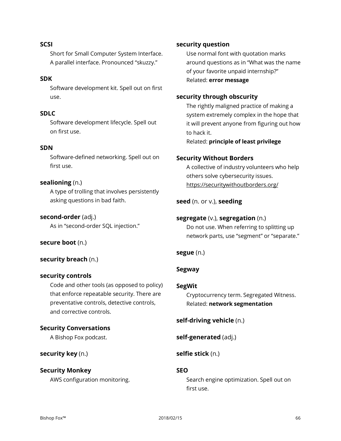#### **SCSI**

Short for Small Computer System Interface. A parallel interface. Pronounced "skuzzy."

#### **SDK**

Software development kit. Spell out on first use.

#### **SDLC**

Software development lifecycle. Spell out on first use.

#### **SDN**

Software-defined networking. Spell out on first use.

#### **sealioning** (n.)

A type of trolling that involves persistently asking questions in bad faith.

#### **second-order** (adj.)

As in "second-order SQL injection."

#### **secure boot** (n.)

#### **security breach** (n.)

#### **security controls**

Code and other tools (as opposed to policy) that enforce repeatable security. There are preventative controls, detective controls, and corrective controls.

#### **Security Conversations**

A Bishop Fox podcast.

#### **security key** (n.)

#### **Security Monkey**

AWS configuration monitoring.

#### **security question**

Use normal font with quotation marks around questions as in "What was the name of your favorite unpaid internship?" Related: **error message**

#### **security through obscurity**

The rightly maligned practice of making a system extremely complex in the hope that it will prevent anyone from figuring out how to hack it.

Related: **principle of least privilege**

#### **Security Without Borders**

A collective of industry volunteers who help others solve cybersecurity issues. https://securitywithoutborders.org/

#### **seed** (n. or v.), **seeding**

#### **segregate** (v.), **segregation** (n.)

Do not use. When referring to splitting up network parts, use "segment" or "separate."

#### **segue** (n.)

# **Segway**

#### **SegWit**

Cryptocurrency term. Segregated Witness. Related: **network segmentation**

**self-driving vehicle** (n.)

**self-generated** (adj.)

**selfie stick** (n.)

#### **SEO**

Search engine optimization. Spell out on first use.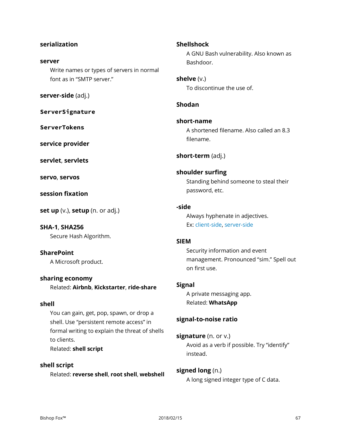# **serialization**

#### **server**

Write names or types of servers in normal font as in "SMTP server."

**server-side** (adj.)

**ServerSignature**

**ServerTokens**

**service provider**

**servlet**, **servlets**

**servo**, **servos**

**session fixation**

**set up** (v.), **setup** (n. or adj.)

# **SHA-1**, **SHA256**

Secure Hash Algorithm.

# **SharePoint**

A Microsoft product.

#### **sharing economy**

Related: **Airbnb**, **Kickstarter**, **ride-share**

#### **shell**

You can gain, get, pop, spawn, or drop a shell. Use "persistent remote access" in formal writing to explain the threat of shells to clients. Related: **shell script**

**shell script** Related: **reverse shell**, **root shell**, **webshell**

# **Shellshock** A GNU Bash vulnerability. Also known as Bashdoor.

**shelve** (v.) To discontinue the use of.

### **Shodan**

**short-name** A shortened filename. Also called an 8.3 filename.

**short-term** (adj.)

# **shoulder surfing**

Standing behind someone to steal their password, etc.

# **-side**

Always hyphenate in adjectives. Ex: client-side, server-side

#### **SIEM**

Security information and event management. Pronounced "sim." Spell out on first use.

#### **Signal**

A private messaging app. Related: **WhatsApp**

# **signal-to-noise ratio**

# **signature** (n. or v.)

Avoid as a verb if possible. Try "identify" instead.

#### **signed long** (n.)

A long signed integer type of C data.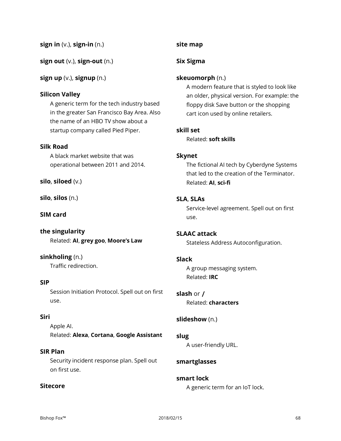**sign in** (v.), **sign-in** (n.)

**sign out** (v.), **sign-out** (n.)

**sign up** (v.), **signup** (n.)

# **Silicon Valley**

A generic term for the tech industry based in the greater San Francisco Bay Area. Also the name of an HBO TV show about a startup company called Pied Piper.

# **Silk Road**

A black market website that was operational between 2011 and 2014.

**silo**, **siloed** (v.)

**silo**, **silos** (n.)

**SIM card**

**the singularity** Related: **AI**, **grey goo**, **Moore's Law**

# **sinkholing** (n.)

Traffic redirection.

### **SIP**

Session Initiation Protocol. Spell out on first use.

### **Siri**

Apple AI. Related: **Alexa**, **Cortana**, **Google Assistant**

#### **SIR Plan**

Security incident response plan. Spell out on first use.

### **Sitecore**

# **site map**

# **Six Sigma**

### **skeuomorph** (n.)

A modern feature that is styled to look like an older, physical version. For example: the floppy disk Save button or the shopping cart icon used by online retailers.

#### **skill set**

Related: **soft skills**

#### **Skynet**

The fictional AI tech by Cyberdyne Systems that led to the creation of the Terminator. Related: **AI**, **sci-fi**

# **SLA**, **SLAs**

Service-level agreement. Spell out on first use.

# **SLAAC attack**

Stateless Address Autoconfiguration.

#### **Slack**

A group messaging system. Related: **IRC**

**slash** or **/** Related: **characters**

# **slideshow** (n.)

**slug** A user-friendly URL.

# **smartglasses**

# **smart lock**

A generic term for an IoT lock.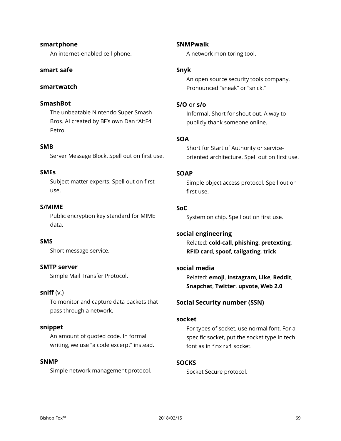# **smartphone**

An internet-enabled cell phone.

# **smart safe**

# **smartwatch**

# **SmashBot**

The unbeatable Nintendo Super Smash Bros. AI created by BF's own Dan "AltF4 Petro.

# **SMB**

Server Message Block. Spell out on first use.

# **SMEs**

Subject matter experts. Spell out on first use.

# **S/MIME**

Public encryption key standard for MIME data.

# **SMS**

Short message service.

#### **SMTP server**

Simple Mail Transfer Protocol.

#### **sniff** (v.)

To monitor and capture data packets that pass through a network.

#### **snippet**

An amount of quoted code. In formal writing, we use "a code excerpt" instead.

# **SNMP**

Simple network management protocol.

# **SNMPwalk**

A network monitoring tool.

# **Snyk**

An open source security tools company. Pronounced "sneak" or "snick."

# **S/O** or **s/o**

Informal. Short for shout out. A way to publicly thank someone online.

# **SOA**

Short for Start of Authority or serviceoriented architecture. Spell out on first use.

#### **SOAP**

Simple object access protocol. Spell out on first use.

# **SoC**

System on chip. Spell out on first use.

#### **social engineering**

Related: **cold-call**, **phishing**, **pretexting**, **RFID card**, **spoof**, **tailgating**, **trick**

# **social media**

Related: **emoji**, **Instagram**, **Like**, **Reddit**, **Snapchat**, **Twitter**, **upvote**, **Web 2.0**

# **Social Security number (SSN)**

#### **socket**

For types of socket, use normal font. For a specific socket, put the socket type in tech font as in jmxrxi socket.

# **SOCKS**

Socket Secure protocol.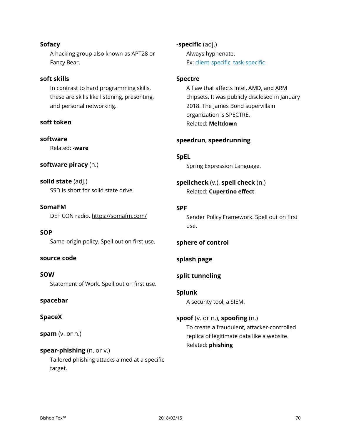#### **Sofacy**

A hacking group also known as APT28 or Fancy Bear.

#### **soft skills**

In contrast to hard programming skills, these are skills like listening, presenting, and personal networking.

# **soft token**

**software**

Related: **-ware**

#### **software piracy** (n.)

**solid state** (adj.) SSD is short for solid state drive.

**SomaFM** DEF CON radio. https://somafm.com/

**SOP** Same-origin policy. Spell out on first use.

#### **source code**

**SOW** Statement of Work. Spell out on first use.

#### **spacebar**

#### **SpaceX**

**spam** (v. or n.)

#### **spear-phishing** (n. or v.)

Tailored phishing attacks aimed at a specific target.

# **-specific** (adj.)

Always hyphenate. Ex: client-specific, task-specific

#### **Spectre**

A flaw that affects Intel, AMD, and ARM chipsets. It was publicly disclosed in January 2018. The James Bond supervillain organization is SPECTRE. Related: **Meltdown**

#### **speedrun**, **speedrunning**

#### **SpEL**

Spring Expression Language.

# **spellcheck** (v.), **spell check** (n.) Related: **Cupertino effect**

#### **SPF**

Sender Policy Framework. Spell out on first use.

#### **sphere of control**

#### **splash page**

### **split tunneling**

**Splunk** A security tool, a SIEM.

#### **spoof** (v. or n.), **spoofing** (n.)

To create a fraudulent, attacker-controlled replica of legitimate data like a website. Related: **phishing**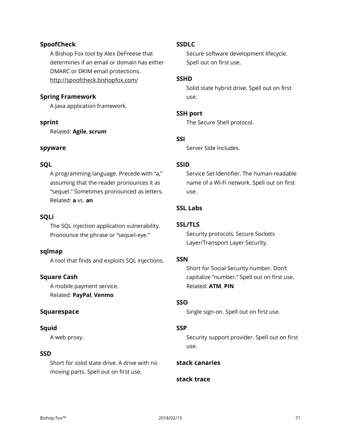# **SpoofCheck**

A Bishop Fox tool by Alex DeFreese that determines if an email or domain has either DMARC or DKIM email protections. http://spoofcheck.bishopfox.com/

# **Spring Framework**

A Java application framework.

#### **sprint**

Related: **Agile**, **scrum**

#### **spyware**

#### **SQL**

A programming language. Precede with "a," assuming that the reader pronounces it as "sequel." Sometimes pronounced as letters. Related: **a** vs. **an**

### **SQLi**

The SQL injection application vulnerability. Pronounce the phrase or "sequel-eye."

#### **sqlmap**

A tool that finds and exploits SQL injections.

#### **Square Cash**

A mobile payment service. Related: **PayPal**, **Venmo**

#### **Squarespace**

#### **Squid**

A web proxy.

#### **SSD**

Short for solid state drive. A drive with no moving parts. Spell out on first use.

#### **SSDLC**

Secure software development lifecycle. Spell out on first use.

#### **SSHD**

Solid state hybrid drive. Spell out on first use.

#### **SSH port**

The Secure Shell protocol.

#### **SSI**

Server Side Includes.

#### **SSID**

Service Set Identifier. The human-readable name of a Wi-Fi network. Spell out on first use.

# **SSL Labs**

# **SSL/TLS**

Security protocols. Secure Sockets Layer/Transport Layer Security.

#### **SSN**

Short for Social Security number. Don't capitalize "number." Spell out on first use. Related: **ATM**, **PIN**

#### **SSO**

Single sign-on. Spell out on first use.

#### **SSP**

Security support provider. Spell out on first use.

# **stack canaries**

# **stack trace**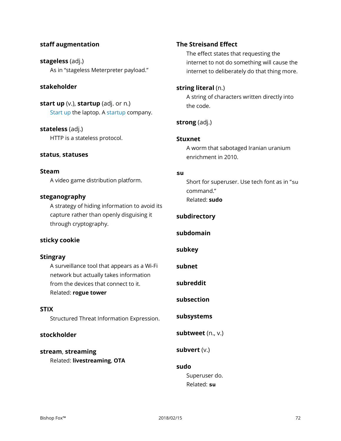# **staff augmentation**

**stageless** (adj.) As in "stageless Meterpreter payload."

#### **stakeholder**

**start up** (v.), **startup** (adj. or n.) Start up the laptop. A startup company.

**stateless** (adj.) HTTP is a stateless protocol.

#### **status**, **statuses**

#### **Steam**

A video game distribution platform.

#### **steganography**

A strategy of hiding information to avoid its capture rather than openly disguising it through cryptography.

#### **sticky cookie**

#### **Stingray**

A surveillance tool that appears as a Wi-Fi network but actually takes information from the devices that connect to it. Related: **rogue tower**

#### **STIX**

Structured Threat Information Expression.

#### **stockholder**

# **stream**, **streaming**

Related: **livestreaming**, **OTA**

#### **The Streisand Effect**

The effect states that requesting the internet to not do something will cause the internet to deliberately do that thing more.

#### **string literal** (n.)

A string of characters written directly into the code.

# **strong** (adj.)

#### **Stuxnet**

A worm that sabotaged Iranian uranium enrichment in 2010.

#### **su**

Short for superuser. Use tech font as in "su command." Related: **sudo**

#### **subdirectory**

**subdomain**

# **subkey**

**subnet**

**subreddit**

#### **subsection**

#### **subsystems**

**subtweet** (n., v.)

**subvert** (v.)

# **sudo**

Superuser do. Related: **su**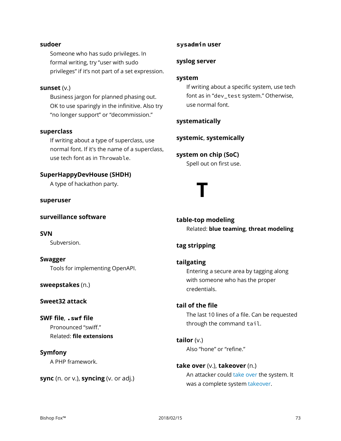#### **sudoer**

Someone who has sudo privileges. In formal writing, try "user with sudo privileges" if it's not part of a set expression.

#### **sunset** (v.)

Business jargon for planned phasing out. OK to use sparingly in the infinitive. Also try "no longer support" or "decommission."

#### **superclass**

If writing about a type of superclass, use normal font. If it's the name of a superclass, use tech font as in Throwable.

#### **SuperHappyDevHouse (SHDH)**

A type of hackathon party.

**superuser**

**surveillance software**

**SVN** Subversion.

#### **Swagger**

Tools for implementing OpenAPI.

**sweepstakes** (n.)

#### **Sweet32 attack**

**SWF file**, **.swf file** Pronounced "swiff." Related: **file extensions**

#### **Symfony**

A PHP framework.

**sync** (n. or v.), **syncing** (v. or adj.)

#### **sysadmin user**

#### **syslog server**

#### **system**

If writing about a specific system, use tech font as in "dev\_test system." Otherwise, use normal font.

# **systematically**

**systemic**, **systemically**

# **system on chip (SoC)**

Spell out on first use.

# **T**

**table-top modeling** Related: **blue teaming**, **threat modeling**

# **tag stripping**

# **tailgating**

Entering a secure area by tagging along with someone who has the proper credentials.

# **tail of the file**

The last 10 lines of a file. Can be requested through the command tail.

**tailor** (v.) Also "hone" or "refine."

**take over** (v.), **takeover** (n.) An attacker could take over the system. It was a complete system takeover.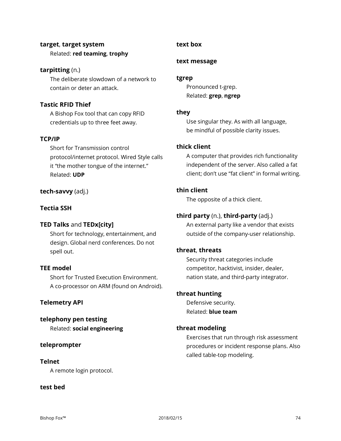# **target**, **target system**

Related: **red teaming**, **trophy**

# **tarpitting** (n.)

The deliberate slowdown of a network to contain or deter an attack.

# **Tastic RFID Thief**

A Bishop Fox tool that can copy RFID credentials up to three feet away.

# **TCP/IP**

Short for Transmission control protocol/internet protocol. Wired Style calls it "the mother tongue of the internet." Related: **UDP**

# **tech-savvy** (adj.)

# **Tectia SSH**

# **TED Talks** and **TEDx[city]**

Short for technology, entertainment, and design. Global nerd conferences. Do not spell out.

# **TEE model**

Short for Trusted Execution Environment. A co-processor on ARM (found on Android).

# **Telemetry API**

# **telephony pen testing**

Related: **social engineering**

# **teleprompter**

# **Telnet**

A remote login protocol.

# **test bed**

# **text box**

# **text message**

# **tgrep**

Pronounced t-grep. Related: **grep**, **ngrep**

# **they**

Use singular they. As with all language, be mindful of possible clarity issues.

# **thick client**

A computer that provides rich functionality independent of the server. Also called a fat client; don't use "fat client" in formal writing.

# **thin client**

The opposite of a thick client.

# **third party** (n.), **third-party** (adj.)

An external party like a vendor that exists outside of the company-user relationship.

# **threat**, **threats**

Security threat categories include competitor, hacktivist, insider, dealer, nation state, and third-party integrator.

# **threat hunting**

Defensive security. Related: **blue team**

# **threat modeling**

Exercises that run through risk assessment procedures or incident response plans. Also called table-top modeling.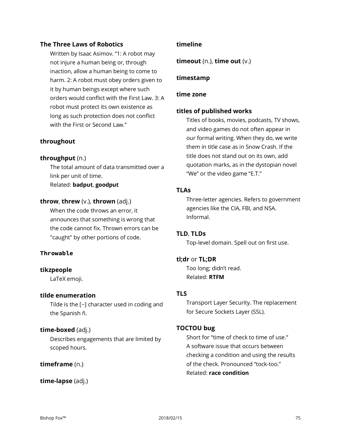# **The Three Laws of Robotics**

Written by Isaac Asimov. "1: A robot may not injure a human being or, through inaction, allow a human being to come to harm. 2: A robot must obey orders given to it by human beings except where such orders would conflict with the First Law. 3: A robot must protect its own existence as long as such protection does not conflict with the First or Second Law."

# **throughout**

# **throughput** (n.)

The total amount of data transmitted over a link per unit of time. Related: **badput**, **goodput**

# **throw**, **threw** (v.), **thrown** (adj.)

When the code throws an error, it announces that something is wrong that the code cannot fix. Thrown errors can be "caught" by other portions of code.

# **Throwable**

# **tikzpeople**

LaTeX emoji.

# **tilde enumeration**

Tilde is the [~] character used in coding and the Spanish ñ.

# **time-boxed** (adj.)

Describes engagements that are limited by scoped hours.

# **timeframe** (n.)

**time-lapse** (adj.)

# **timeline**

**timeout** (n.), **time out** (v.)

#### **timestamp**

#### **time zone**

#### **titles of published works**

Titles of books, movies, podcasts, TV shows, and video games do not often appear in our formal writing. When they do, we write them in title case as in Snow Crash. If the title does not stand out on its own, add quotation marks, as in the dystopian novel "We" or the video game "E.T."

# **TLAs**

Three-letter agencies. Refers to government agencies like the CIA, FBI, and NSA. Informal.

# **TLD**, **TLDs**

Top-level domain. Spell out on first use.

# **tl;dr** or **TL;DR**

Too long; didn't read. Related: **RTFM**

# **TLS**

Transport Layer Security. The replacement for Secure Sockets Layer (SSL).

# **TOCTOU bug**

Short for "time of check to time of use." A software issue that occurs between checking a condition and using the results of the check. Pronounced "tock-too." Related: **race condition**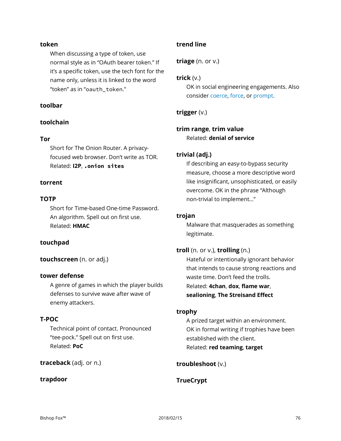# **token**

When discussing a type of token, use normal style as in "OAuth bearer token." If it's a specific token, use the tech font for the name only, unless it is linked to the word "token" as in "oauth\_token."

#### **toolbar**

# **toolchain**

#### **Tor**

Short for The Onion Router. A privacyfocused web browser. Don't write as TOR. Related: **I2P**, **.onion sites**

#### **torrent**

#### **TOTP**

Short for Time-based One-time Password. An algorithm. Spell out on first use. Related: **HMAC**

# **touchpad**

**touchscreen** (n. or adj.)

#### **tower defense**

A genre of games in which the player builds defenses to survive wave after wave of enemy attackers.

# **T-POC**

Technical point of contact. Pronounced "tee-pock." Spell out on first use. Related: **PoC**

#### **traceback** (adj. or n.)

#### **trapdoor**

#### **trend line**

**triage** (n. or v.)

#### **trick** (v.)

OK in social engineering engagements. Also consider coerce, force, or prompt.

# **trigger** (v.)

# **trim range**, **trim value** Related: **denial of service**

#### **trivial (adj.)**

If describing an easy-to-bypass security measure, choose a more descriptive word like insignificant, unsophisticated, or easily overcome. OK in the phrase "Although non-trivial to implement…"

#### **trojan**

Malware that masquerades as something legitimate.

#### **troll** (n. or v.), **trolling** (n.)

Hateful or intentionally ignorant behavior that intends to cause strong reactions and waste time. Don't feed the trolls. Related: **4chan**, **dox**, **flame war**, **sealioning**, **The Streisand Effect**

#### **trophy**

A prized target within an environment. OK in formal writing if trophies have been established with the client. Related: **red teaming**, **target**

#### **troubleshoot** (v.)

# **TrueCrypt**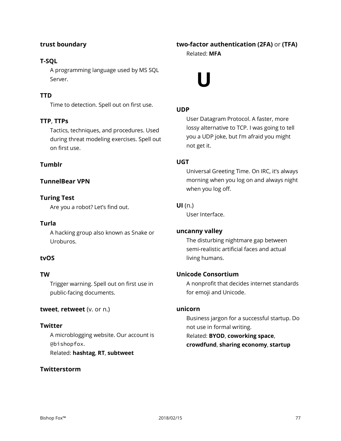# **trust boundary**

# **T-SQL**

A programming language used by MS SQL Server.

# **TTD**

Time to detection. Spell out on first use.

# **TTP**, **TTPs**

Tactics, techniques, and procedures. Used during threat modeling exercises. Spell out on first use.

# **Tumblr**

# **TunnelBear VPN**

# **Turing Test**

Are you a robot? Let's find out.

#### **Turla**

A hacking group also known as Snake or Uroburos.

# **tvOS**

#### **TW**

Trigger warning. Spell out on first use in public-facing documents.

#### **tweet**, **retweet** (v. or n.)

**Twitter** A microblogging website. Our account is @bishopfox. Related: **hashtag**, **RT**, **subtweet**

#### **Twitterstorm**

# **two-factor authentication (2FA)** or **(TFA)**

Related: **MFA**

# **U**

# **UDP**

User Datagram Protocol. A faster, more lossy alternative to TCP. I was going to tell you a UDP joke, but I'm afraid you might not get it.

#### **UGT**

Universal Greeting Time. On IRC, it's always morning when you log on and always night when you log off.

# **UI** (n.)

User Interface.

#### **uncanny valley**

The disturbing nightmare gap between semi-realistic artificial faces and actual living humans.

#### **Unicode Consortium**

A nonprofit that decides internet standards for emoji and Unicode.

#### **unicorn**

Business jargon for a successful startup. Do not use in formal writing. Related: **BYOD**, **coworking space**, **crowdfund**, **sharing economy**, **startup**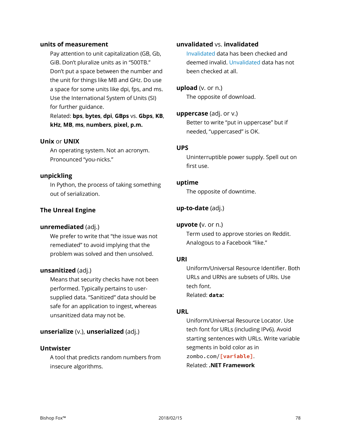#### **units of measurement**

Pay attention to unit capitalization (GB, Gb, GiB. Don't pluralize units as in "500TB." Don't put a space between the number and the unit for things like MB and GHz. Do use a space for some units like dpi, fps, and ms. Use the International System of Units (SI) for further guidance.

Related: **bps**, **bytes**, **dpi**, **GBps** vs. **Gbps**, **KB**, **kHz**, **MB**, **ms**, **numbers**, **pixel, p.m.**

#### **Unix** or **UNIX**

An operating system. Not an acronym. Pronounced "you-nicks."

#### **unpickling**

In Python, the process of taking something out of serialization.

# **The Unreal Engine**

# **unremediated** (adj.)

We prefer to write that "the issue was not remediated" to avoid implying that the problem was solved and then unsolved.

#### **unsanitized** (adj.)

Means that security checks have not been performed. Typically pertains to usersupplied data. "Sanitized" data should be safe for an application to ingest, whereas unsanitized data may not be.

# **unserialize** (v.), **unserialized** (adj.)

# **Untwister**

A tool that predicts random numbers from insecure algorithms.

# **unvalidated** vs. **invalidated**

Invalidated data has been checked and deemed invalid. Unvalidated data has not been checked at all.

**upload** (v. or n.) The opposite of download.

#### **uppercase** (adj. or v.)

Better to write "put in uppercase" but if needed, "uppercased" is OK.

# **UPS**

Uninterruptible power supply. Spell out on first use.

#### **uptime**

The opposite of downtime.

# **up-to-date** (adj.)

#### **upvote (**v. or n.)

Term used to approve stories on Reddit. Analogous to a Facebook "like."

# **URI**

Uniform/Universal Resource Identifier. Both URLs and URNs are subsets of URIs. Use tech font. Related: **data:**

# **URL**

Uniform/Universal Resource Locator. Use tech font for URLs (including IPv6). Avoid starting sentences with URLs. Write variable segments in bold color as in zombo.com/**[variable]**. Related: **.NET Framework**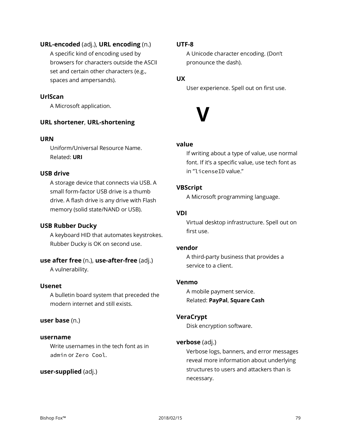# **URL-encoded** (adj.), **URL encoding** (n.)

A specific kind of encoding used by browsers for characters outside the ASCII set and certain other characters (e.g., spaces and ampersands).

# **UrlScan**

A Microsoft application.

# **URL shortener**, **URL-shortening**

#### **URN**

Uniform/Universal Resource Name. Related: **URI**

# **USB drive**

A storage device that connects via USB. A small form-factor USB drive is a thumb drive. A flash drive is any drive with Flash memory (solid state/NAND or USB).

# **USB Rubber Ducky**

A keyboard HID that automates keystrokes. Rubber Ducky is OK on second use.

# **use after free** (n.), **use-after-free** (adj.)

A vulnerability.

# **Usenet**

A bulletin board system that preceded the modern internet and still exists.

# **user base** (n.)

#### **username**

Write usernames in the tech font as in admin or Zero Cool.

# **user-supplied** (adj.)

# **UTF-8**

A Unicode character encoding. (Don't pronounce the dash).

# **UX**

User experience. Spell out on first use.



# **value**

If writing about a type of value, use normal font. If it's a specific value, use tech font as in "licenseID value."

# **VBScript**

A Microsoft programming language.

# **VDI**

Virtual desktop infrastructure. Spell out on first use.

# **vendor**

A third-party business that provides a service to a client.

# **Venmo**

A mobile payment service. Related: **PayPal**, **Square Cash**

# **VeraCrypt**

Disk encryption software.

# **verbose** (adj.)

Verbose logs, banners, and error messages reveal more information about underlying structures to users and attackers than is necessary.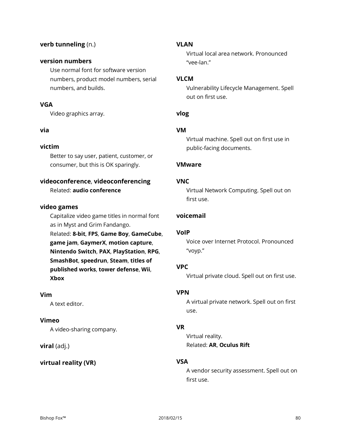# **verb tunneling** (n.)

#### **version numbers**

Use normal font for software version numbers, product model numbers, serial numbers, and builds.

# **VGA**

Video graphics array.

#### **via**

# **victim**

Better to say user, patient, customer, or consumer, but this is OK sparingly.

# **videoconference**, **videoconferencing**

Related: **audio conference**

#### **video games**

Capitalize video game titles in normal font as in Myst and Grim Fandango. Related: **8-bit**, **FPS**, **Game Boy**, **GameCube**, **game jam**, **GaymerX**, **motion capture**, **Nintendo Switch**, **PAX**, **PlayStation**, **RPG**, **SmashBot**, **speedrun**, **Steam**, **titles of published works**, **tower defense**, **Wii**, **Xbox**

#### **Vim**

A text editor.

#### **Vimeo**

A video-sharing company.

#### **viral** (adj.)

# **virtual reality (VR)**

#### **VLAN**

Virtual local area network. Pronounced "vee-lan."

#### **VLCM**

Vulnerability Lifecycle Management. Spell out on first use.

# **vlog**

#### **VM**

Virtual machine. Spell out on first use in public-facing documents.

#### **VMware**

#### **VNC**

Virtual Network Computing. Spell out on first use.

# **voicemail**

#### **VoIP**

Voice over Internet Protocol. Pronounced "voyp."

# **VPC**

Virtual private cloud. Spell out on first use.

#### **VPN**

A virtual private network. Spell out on first use.

#### **VR**

Virtual reality. Related: **AR**, **Oculus Rift**

# **VSA**

A vendor security assessment. Spell out on first use.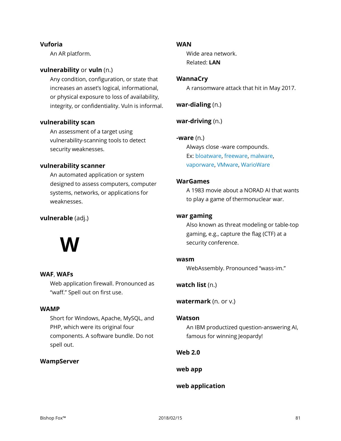# **Vuforia**

An AR platform.

# **vulnerability** or **vuln** (n.)

Any condition, configuration, or state that increases an asset's logical, informational, or physical exposure to loss of availability, integrity, or confidentiality. Vuln is informal.

#### **vulnerability scan**

An assessment of a target using vulnerability-scanning tools to detect security weaknesses.

#### **vulnerability scanner**

An automated application or system designed to assess computers, computer systems, networks, or applications for weaknesses.

# **vulnerable** (adj.)



# **WAF**, **WAFs**

Web application firewall. Pronounced as "waff." Spell out on first use.

#### **WAMP**

Short for Windows, Apache, MySQL, and PHP, which were its original four components. A software bundle. Do not spell out.

#### **WampServer**

#### **WAN**

Wide area network. Related: **LAN**

#### **WannaCry**

A ransomware attack that hit in May 2017.

**war-dialing** (n.)

**war-driving** (n.)

#### **-ware** (n.)

Always close -ware compounds. Ex: bloatware, freeware, malware, vaporware, VMware, WarioWare

# **WarGames**

A 1983 movie about a NORAD AI that wants to play a game of thermonuclear war.

#### **war gaming**

Also known as threat modeling or table-top gaming, e.g., capture the flag (CTF) at a security conference.

#### **wasm**

WebAssembly. Pronounced "wass-im."

# **watch list** (n.)

**watermark** (n. or v.)

#### **Watson**

An IBM productized question-answering AI, famous for winning Jeopardy!

# **Web 2.0**

**web app**

# **web application**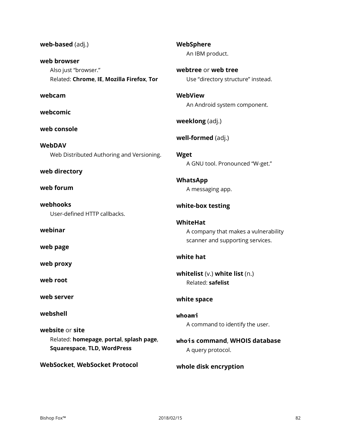**web-based** (adj.) **web browser** Also just "browser." Related: **Chrome**, **IE**, **Mozilla Firefox**, **Tor webcam webcomic web console WebDAV** Web Distributed Authoring and Versioning. **web directory web forum webhooks** User-defined HTTP callbacks. **webinar web page web proxy web root web server webshell website** or **site** Related: **homepage**, **portal**, **splash page**, **Squarespace**, **TLD, WordPress WebSocket**, **WebSocket Protocol WebSphere** An IBM product. **WebView Wget WhatsApp WhiteHat white hat whoami**

**webtree** or **web tree** Use "directory structure" instead. An Android system component. **weeklong** (adj.) **well-formed** (adj.) A GNU tool. Pronounced "W-get." A messaging app. **white-box testing** A company that makes a vulnerability scanner and supporting services. **whitelist** (v.) **white list** (n.) Related: **safelist white space** A command to identify the user. **whois command**, **WHOIS database** A query protocol.

**whole disk encryption**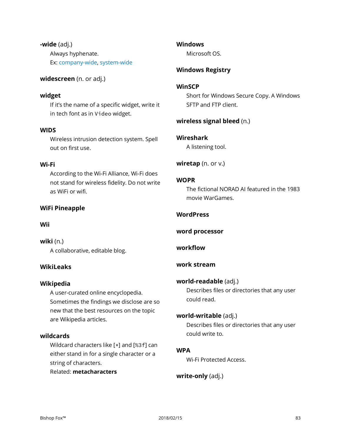**-wide** (adj.) Always hyphenate. Ex: company-wide, system-wide

**widescreen** (n. or adj.)

#### **widget**

If it's the name of a specific widget, write it in tech font as in Video widget.

#### **WIDS**

Wireless intrusion detection system. Spell out on first use.

#### **Wi-Fi**

According to the Wi-Fi Alliance, Wi-Fi does not stand for wireless fidelity. Do not write as WiFi or wifi.

#### **WiFi Pineapple**

#### **Wii**

**wiki** (n.) A collaborative, editable blog.

#### **WikiLeaks**

#### **Wikipedia**

A user-curated online encyclopedia. Sometimes the findings we disclose are so new that the best resources on the topic are Wikipedia articles.

#### **wildcards**

Wildcard characters like [\*] and [%3f] can either stand in for a single character or a string of characters.

Related: **metacharacters**

#### **Windows**

Microsoft OS.

#### **Windows Registry**

#### **WinSCP**

Short for Windows Secure Copy. A Windows SFTP and FTP client.

#### **wireless signal bleed** (n.)

#### **Wireshark**

A listening tool.

**wiretap** (n. or v.)

#### **WOPR**

The fictional NORAD AI featured in the 1983 movie WarGames.

#### **WordPress**

**word processor**

#### **workflow**

#### **work stream**

#### **world-readable** (adj.)

Describes files or directories that any user could read.

#### **world-writable** (adj.)

Describes files or directories that any user could write to.

# **WPA**

Wi-Fi Protected Access.

**write-only** (adj.)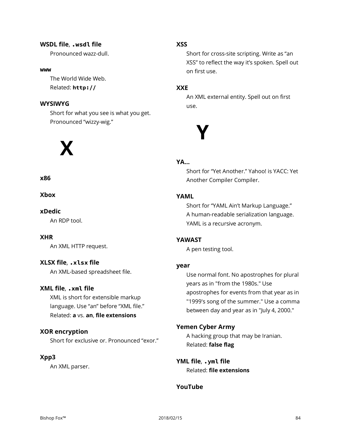# **WSDL file**, **.wsdl file**

Pronounced wazz-dull.

#### **www**

The World Wide Web. Related: **http://**

# **WYSIWYG**

Short for what you see is what you get. Pronounced "wizzy-wig."



# **x86**

**Xbox**

#### **xDedic**

An RDP tool.

#### **XHR**

An XML HTTP request.

# **XLSX file**, **.xlsx file**

An XML-based spreadsheet file.

# **XML file**, **.xml file**

XML is short for extensible markup language. Use "an" before "XML file." Related: **a** vs. **an**, **file extensions**

# **XOR encryption**

Short for exclusive or. Pronounced "exor."

# **Xpp3**

An XML parser.

# **XSS**

Short for cross-site scripting. Write as "an XSS" to reflect the way it's spoken. Spell out on first use.

# **XXE**

An XML external entity. Spell out on first use.



#### **YA…**

Short for "Yet Another." Yahoo! is YACC: Yet Another Compiler Compiler.

# **YAML**

Short for "YAML Ain't Markup Language." A human-readable serialization language. YAML is a recursive acronym.

# **YAWAST**

A pen testing tool.

#### **year**

Use normal font. No apostrophes for plural years as in "from the 1980s." Use apostrophes for events from that year as in "1999's song of the summer." Use a comma between day and year as in "July 4, 2000."

#### **Yemen Cyber Army**

A hacking group that may be Iranian. Related: **false flag**

**YML file**, **.yml file** Related: **file extensions**

# **YouTube**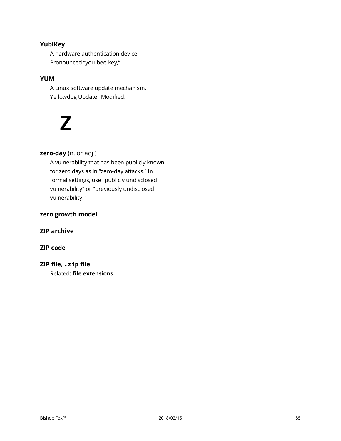# **YubiKey**

A hardware authentication device. Pronounced "you-bee-key,"

# **YUM**

A Linux software update mechanism. Yellowdog Updater Modified.

# **Z**

# **zero-day** (n. or adj.)

A vulnerability that has been publicly known for zero days as in "zero-day attacks." In formal settings, use "publicly undisclosed vulnerability" or "previously undisclosed vulnerability."

# **zero growth model**

# **ZIP archive**

# **ZIP code**

# **ZIP file**, **.zip file**

Related: **file extensions**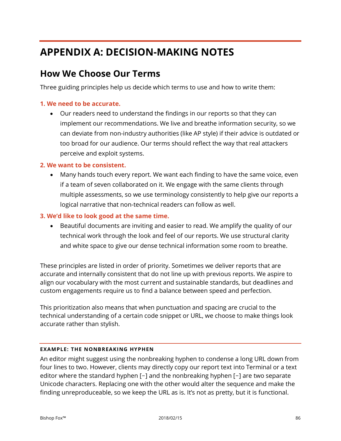# **APPENDIX A: DECISION-MAKING NOTES**

# **How We Choose Our Terms**

Three guiding principles help us decide which terms to use and how to write them:

# **1. We need to be accurate.**

• Our readers need to understand the findings in our reports so that they can implement our recommendations. We live and breathe information security, so we can deviate from non-industry authorities (like AP style) if their advice is outdated or too broad for our audience. Our terms should reflect the way that real attackers perceive and exploit systems.

# **2. We want to be consistent.**

• Many hands touch every report. We want each finding to have the same voice, even if a team of seven collaborated on it. We engage with the same clients through multiple assessments, so we use terminology consistently to help give our reports a logical narrative that non-technical readers can follow as well.

# **3. We'd like to look good at the same time.**

• Beautiful documents are inviting and easier to read. We amplify the quality of our technical work through the look and feel of our reports. We use structural clarity and white space to give our dense technical information some room to breathe.

These principles are listed in order of priority. Sometimes we deliver reports that are accurate and internally consistent that do not line up with previous reports. We aspire to align our vocabulary with the most current and sustainable standards, but deadlines and custom engagements require us to find a balance between speed and perfection.

This prioritization also means that when punctuation and spacing are crucial to the technical understanding of a certain code snippet or URL, we choose to make things look accurate rather than stylish.

# **EXAMPLE: THE NONBREAKING HYPHEN**

An editor might suggest using the nonbreaking hyphen to condense a long URL down from four lines to two. However, clients may directly copy our report text into Terminal or a text editor where the standard hyphen [-] and the nonbreaking hyphen [-] are two separate Unicode characters. Replacing one with the other would alter the sequence and make the finding unreproduceable, so we keep the URL as is. It's not as pretty, but it is functional.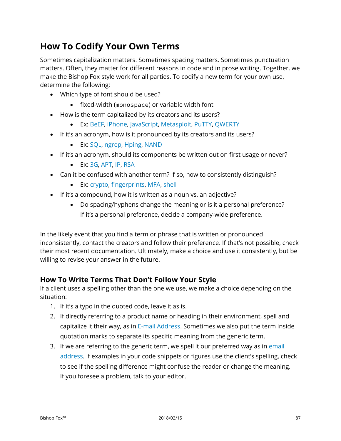# **How To Codify Your Own Terms**

Sometimes capitalization matters. Sometimes spacing matters. Sometimes punctuation matters. Often, they matter for different reasons in code and in prose writing. Together, we make the Bishop Fox style work for all parties. To codify a new term for your own use, determine the following:

- Which type of font should be used?
	- fixed-width (monospace) or variable width font
- How is the term capitalized by its creators and its users?
	- Ex: BeEF, iPhone, JavaScript, Metasploit, PuTTY, QWERTY
- If it's an acronym, how is it pronounced by its creators and its users?
	- Ex: SQL, ngrep, Hping, NAND
- If it's an acronym, should its components be written out on first usage or never?
	- Ex: 3G, APT, IP, RSA
- Can it be confused with another term? If so, how to consistently distinguish?
	- Ex: crypto, fingerprints, MFA, shell
- If it's a compound, how it is written as a noun vs. an adjective?
	- Do spacing/hyphens change the meaning or is it a personal preference? If it's a personal preference, decide a company-wide preference.

In the likely event that you find a term or phrase that is written or pronounced inconsistently, contact the creators and follow their preference. If that's not possible, check their most recent documentation. Ultimately, make a choice and use it consistently, but be willing to revise your answer in the future.

# **How To Write Terms That Don't Follow Your Style**

If a client uses a spelling other than the one we use, we make a choice depending on the situation:

- 1. If it's a typo in the quoted code, leave it as is.
- 2. If directly referring to a product name or heading in their environment, spell and capitalize it their way, as in E-mail Address. Sometimes we also put the term inside quotation marks to separate its specific meaning from the generic term.
- 3. If we are referring to the generic term, we spell it our preferred way as in email address. If examples in your code snippets or figures use the client's spelling, check to see if the spelling difference might confuse the reader or change the meaning. If you foresee a problem, talk to your editor.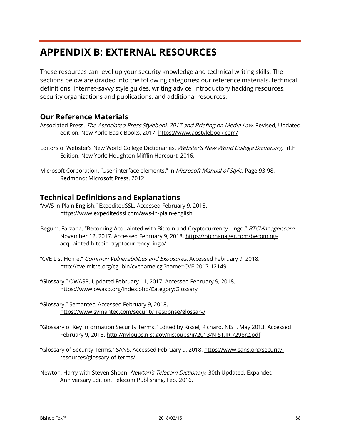# **APPENDIX B: EXTERNAL RESOURCES**

These resources can level up your security knowledge and technical writing skills. The sections below are divided into the following categories: our reference materials, technical definitions, internet-savvy style guides, writing advice, introductory hacking resources, security organizations and publications, and additional resources.

# **Our Reference Materials**

- Associated Press. The Associated Press Stylebook 2017 and Briefing on Media Law. Revised, Updated edition. New York: Basic Books, 2017. https://www.apstylebook.com/
- Editors of Webster's New World College Dictionaries. Webster's New World College Dictionary, Fifth Edition. New York: Houghton Mifflin Harcourt, 2016.
- Microsoft Corporation. "User interface elements." In Microsoft Manual of Style. Page 93-98. Redmond: Microsoft Press, 2012.

# **Technical Definitions and Explanations**

- "AWS in Plain English." ExpeditedSSL. Accessed February 9, 2018. https://www.expeditedssl.com/aws-in-plain-english
- Begum, Farzana. "Becoming Acquainted with Bitcoin and Cryptocurrency Lingo." BTCManager.com. November 12, 2017. Accessed February 9, 2018. https://btcmanager.com/becomingacquainted-bitcoin-cryptocurrency-lingo/
- "CVE List Home." Common Vulnerabilities and Exposures. Accessed February 9, 2018. <http://cve.mitre.org/cgi-bin/cvename.cgi?name=CVE-2017-12149>
- "Glossary." OWASP. Updated February 11, 2017. Accessed February 9, 2018. https://www.owasp.org/index.php/Category:Glossary
- "Glossary." Semantec. Accessed February 9, 2018. https://www.symantec.com/security\_response/glossary/
- "Glossary of Key Information Security Terms." Edited by Kissel, Richard. NIST, May 2013. Accessed February 9, 2018. http://nvlpubs.nist.gov/nistpubs/ir/2013/NIST.IR.7298r2.pdf
- "Glossary of Security Terms." SANS. Accessed February 9, 2018. https://www.sans.org/securityresources/glossary-of-terms/
- Newton, Harry with Steven Shoen. Newton's Telecom Dictionary; 30th Updated, Expanded Anniversary Edition. Telecom Publishing, Feb. 2016.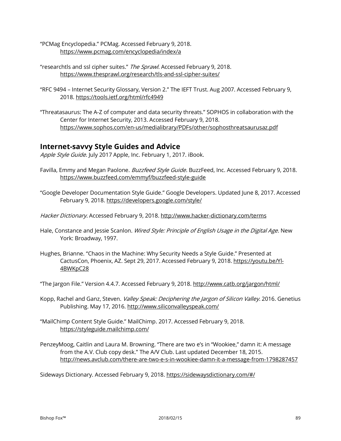- "PCMag Encyclopedia." PCMag. Accessed February 9, 2018. <https://www.pcmag.com/encyclopedia/index/a>
- "researchtls and ssl cipher suites." The Sprawl. Accessed February 9, 2018. <https://www.thesprawl.org/research/tls-and-ssl-cipher-suites/>
- "RFC 9494 Internet Security Glossary, Version 2." The IEFT Trust. Aug 2007. Accessed February 9, 2018. https://tools.ietf.org/html/rfc4949
- "Threatasaurus: The A-Z of computer and data security threats." SOPHOS in collaboration with the Center for Internet Security, 2013. Accessed February 9, 2018. https://www.sophos.com/en-us/medialibrary/PDFs/other/sophosthreatsaurusaz.pdf

# **Internet-savvy Style Guides and Advice**

Apple Style Guide. July 2017 Apple, Inc. February 1, 2017. iBook.

- Favilla, Emmy and Megan Paolone. Buzzfeed Style Guide. BuzzFeed, Inc. Accessed February 9, 2018. https://www.buzzfeed.com/emmyf/buzzfeed-style-guide
- "Google Developer Documentation Style Guide." Google Developers. Updated June 8, 2017. Accessed February 9, 2018. https://developers.google.com/style/
- Hacker Dictionary. Accessed February 9, 2018[. http://www.hacker-dictionary.com/terms](http://www.hacker-dictionary.com/terms)
- Hale, Constance and Jessie Scanlon. Wired Style: Principle of English Usage in the Digital Age. New York: Broadway, 1997.
- Hughes, Brianne. "Chaos in the Machine: Why Security Needs a Style Guide." Presented at CactusCon, Phoenix, AZ. Sept 29, 2017. Accessed February 9, 2018. https://youtu.be/Yl-4BWKpC28

"The Jargon File." Version 4.4.7. Accessed February 9, 2018. http://www.catb.org/jargon/html/

- Kopp, Rachel and Ganz, Steven. Valley Speak: Deciphering the Jargon of Silicon Valley. 2016. Genetius Publishing. May 17, 2016[. http://www.siliconvalleyspeak.com/](http://www.siliconvalleyspeak.com/)
- "MailChimp Content Style Guide." MailChimp. 2017. Accessed February 9, 2018. https://styleguide.mailchimp.com/
- PenzeyMoog, Caitlin and Laura M. Browning. "There are two e's in "Wookiee," damn it: A message from the A.V. Club copy desk." The A/V Club. Last updated December 18, 2015. http://news.avclub.com/there-are-two-e-s-in-wookiee-damn-it-a-message-from-1798287457

Sideways Dictionary. Accessed February 9, 2018. https://sidewaysdictionary.com/#/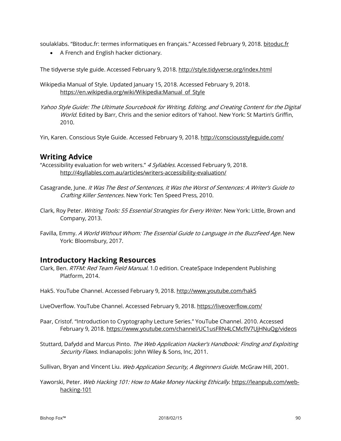soulaklabs. "Bitoduc.fr: termes informatiques en français." Accessed February 9, 2018. bitoduc.fr

• A French and English hacker dictionary.

The tidyverse style guide. Accessed February 9, 2018. <http://style.tidyverse.org/index.html>

Wikipedia Manual of Style. Updated January 15, 2018. Accessed February 9, 2018. https://en.wikipedia.org/wiki/Wikipedia:Manual of Style

Yahoo Style Guide: The Ultimate Sourcebook for Writing, Editing, and Creating Content for the Digital World. Edited by Barr, Chris and the senior editors of Yahoo!. New York: St Martin's Griffin, 2010.

Yin, Karen. Conscious Style Guide. Accessed February 9, 2018[. http://consciousstyleguide.com/](http://consciousstyleguide.com/)

# **Writing Advice**

"Accessibility evaluation for web writers." 4 Syllables. Accessed February 9, 2018. http://4syllables.com.au/articles/writers-accessibility-evaluation/

- Casagrande, June. It Was The Best of Sentences, It Was the Worst of Sentences: A Writer's Guide to Crafting Killer Sentences. New York: Ten Speed Press, 2010.
- Clark, Roy Peter. Writing Tools: 55 Essential Strategies for Every Writer. New York: Little, Brown and Company, 2013.
- Favilla, Emmy. A World Without Whom: The Essential Guide to Language in the BuzzFeed Age. New York: Bloomsbury, 2017.

# **Introductory Hacking Resources**

Clark, Ben. RTFM: Red Team Field Manual. 1.0 edition. CreateSpace Independent Publishing Platform, 2014.

Hak5. YouTube Channel. Accessed February 9, 2018.<http://www.youtube.com/hak5>

LiveOverflow. YouTube Channel. Accessed February 9, 2018. https://liveoverflow.com/

Paar, Cristof. "Introduction to Cryptography Lecture Series." YouTube Channel. 2010. Accessed February 9, 2018. https://www.youtube.com/channel/UC1usFRN4LCMcfIV7UjHNuQg/videos

Stuttard, Dafydd and Marcus Pinto. The Web Application Hacker's Handbook: Finding and Exploiting Security Flaws. Indianapolis: John Wiley & Sons, Inc, 2011.

Sullivan, Bryan and Vincent Liu. Web Application Security, A Beginners Guide. McGraw Hill, 2001.

Yaworski, Peter. Web Hacking 101: How to Make Money Hacking Ethically. https://leanpub.com/webhacking-101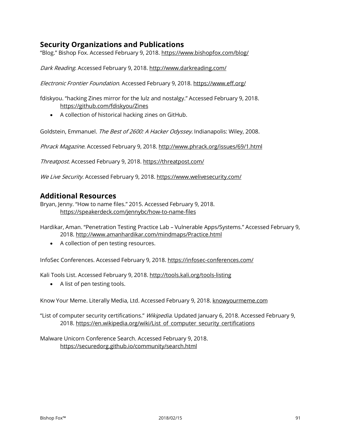# **Security Organizations and Publications**

"Blog." Bishop Fox. Accessed February 9, 2018. https://www.bishopfox.com/blog/

Dark Reading. Accessed February 9, 2018. http://www.darkreading.com/

Electronic Frontier Foundation. Accessed February 9, 2018. https://www.eff.org/

fdiskyou. "hacking Zines mirror for the lulz and nostalgy." Accessed February 9, 2018. https://github.com/fdiskyou/Zines

• A collection of historical hacking zines on GitHub.

Goldstein, Emmanuel. The Best of 2600: A Hacker Odyssey. Indianapolis: Wiley, 2008.

Phrack Magazine. Accessed February 9, 2018. http://www.phrack.org/issues/69/1.html

Threatpost. Accessed February 9, 2018. https://threatpost.com/

We Live Security. Accessed February 9, 2018. https://www.welivesecurity.com/

# **Additional Resources**

Bryan, Jenny. "How to name files." 2015. Accessed February 9, 2018. <https://speakerdeck.com/jennybc/how-to-name-files>

Hardikar, Aman. "Penetration Testing Practice Lab – Vulnerable Apps/Systems." Accessed February 9, 2018.<http://www.amanhardikar.com/mindmaps/Practice.html>

• A collection of pen testing resources.

InfoSec Conferences. Accessed February 9, 2018. https://infosec-conferences.com/

Kali Tools List. Accessed February 9, 2018. http://tools.kali.org/tools-listing

• A list of pen testing tools.

Know Your Meme. Literally Media, Ltd. Accessed February 9, 2018. knowyourmeme.com

"List of computer security certifications." *Wikipedia*. Updated January 6, 2018. Accessed February 9, 2018. [https://en.wikipedia.org/wiki/List of computer security certifications](https://en.wikipedia.org/wiki/List_of_computer_security_certifications)

Malware Unicorn Conference Search. Accessed February 9, 2018. <https://securedorg.github.io/community/search.html>